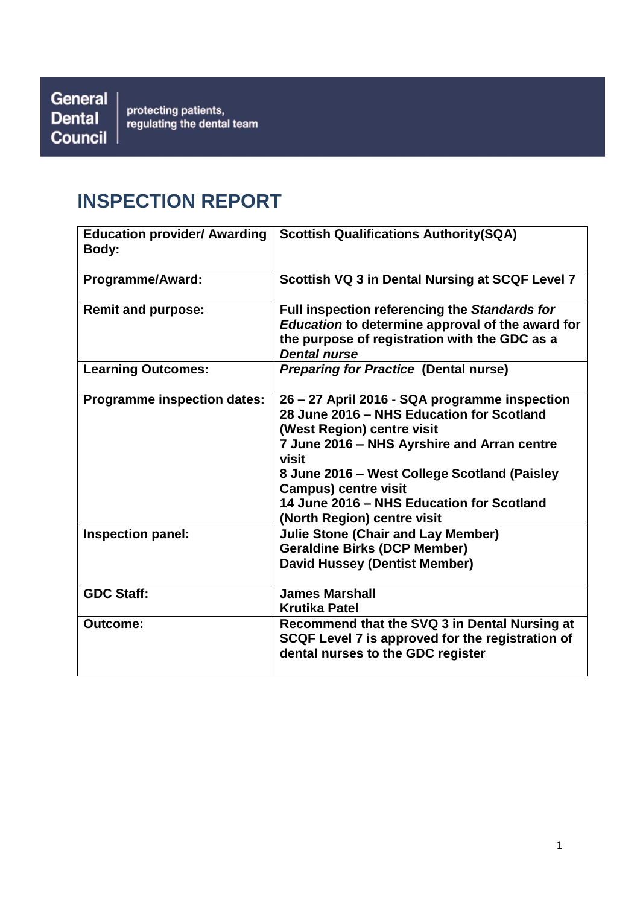General | **Dental Council** 

protecting patients,<br>regulating the dental team

# **INSPECTION REPORT**

| <b>Education provider/ Awarding</b><br>Body: | <b>Scottish Qualifications Authority(SQA)</b>                                                                                                                                                                                                                                                                                               |
|----------------------------------------------|---------------------------------------------------------------------------------------------------------------------------------------------------------------------------------------------------------------------------------------------------------------------------------------------------------------------------------------------|
| <b>Programme/Award:</b>                      | Scottish VQ 3 in Dental Nursing at SCQF Level 7                                                                                                                                                                                                                                                                                             |
| <b>Remit and purpose:</b>                    | Full inspection referencing the Standards for<br>Education to determine approval of the award for<br>the purpose of registration with the GDC as a<br><b>Dental nurse</b>                                                                                                                                                                   |
| <b>Learning Outcomes:</b>                    | <b>Preparing for Practice (Dental nurse)</b>                                                                                                                                                                                                                                                                                                |
| <b>Programme inspection dates:</b>           | 26 - 27 April 2016 - SQA programme inspection<br>28 June 2016 - NHS Education for Scotland<br>(West Region) centre visit<br>7 June 2016 - NHS Ayrshire and Arran centre<br>visit<br>8 June 2016 - West College Scotland (Paisley<br><b>Campus) centre visit</b><br>14 June 2016 - NHS Education for Scotland<br>(North Region) centre visit |
| Inspection panel:                            | <b>Julie Stone (Chair and Lay Member)</b><br><b>Geraldine Birks (DCP Member)</b><br><b>David Hussey (Dentist Member)</b>                                                                                                                                                                                                                    |
| <b>GDC Staff:</b>                            | <b>James Marshall</b><br><b>Krutika Patel</b>                                                                                                                                                                                                                                                                                               |
| <b>Outcome:</b>                              | Recommend that the SVQ 3 in Dental Nursing at<br>SCQF Level 7 is approved for the registration of<br>dental nurses to the GDC register                                                                                                                                                                                                      |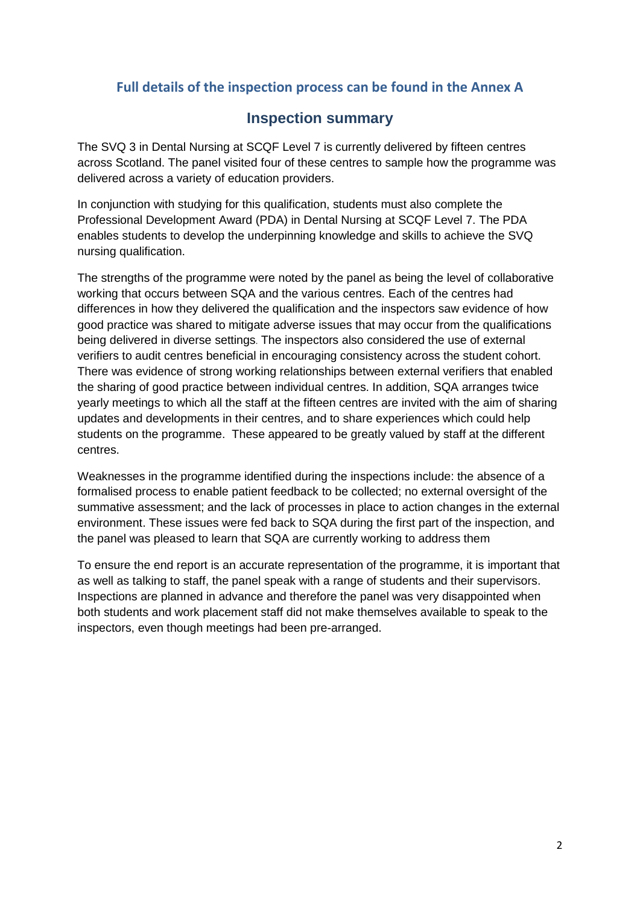# **Full details of the inspection process can be found in the Annex A**

# **Inspection summary**

The SVQ 3 in Dental Nursing at SCQF Level 7 is currently delivered by fifteen centres across Scotland. The panel visited four of these centres to sample how the programme was delivered across a variety of education providers.

In conjunction with studying for this qualification, students must also complete the Professional Development Award (PDA) in Dental Nursing at SCQF Level 7. The PDA enables students to develop the underpinning knowledge and skills to achieve the SVQ nursing qualification.

The strengths of the programme were noted by the panel as being the level of collaborative working that occurs between SQA and the various centres. Each of the centres had differences in how they delivered the qualification and the inspectors saw evidence of how good practice was shared to mitigate adverse issues that may occur from the qualifications being delivered in diverse settings. The inspectors also considered the use of external verifiers to audit centres beneficial in encouraging consistency across the student cohort. There was evidence of strong working relationships between external verifiers that enabled the sharing of good practice between individual centres. In addition, SQA arranges twice yearly meetings to which all the staff at the fifteen centres are invited with the aim of sharing updates and developments in their centres, and to share experiences which could help students on the programme. These appeared to be greatly valued by staff at the different centres.

Weaknesses in the programme identified during the inspections include: the absence of a formalised process to enable patient feedback to be collected; no external oversight of the summative assessment; and the lack of processes in place to action changes in the external environment. These issues were fed back to SQA during the first part of the inspection, and the panel was pleased to learn that SQA are currently working to address them

To ensure the end report is an accurate representation of the programme, it is important that as well as talking to staff, the panel speak with a range of students and their supervisors. Inspections are planned in advance and therefore the panel was very disappointed when both students and work placement staff did not make themselves available to speak to the inspectors, even though meetings had been pre-arranged.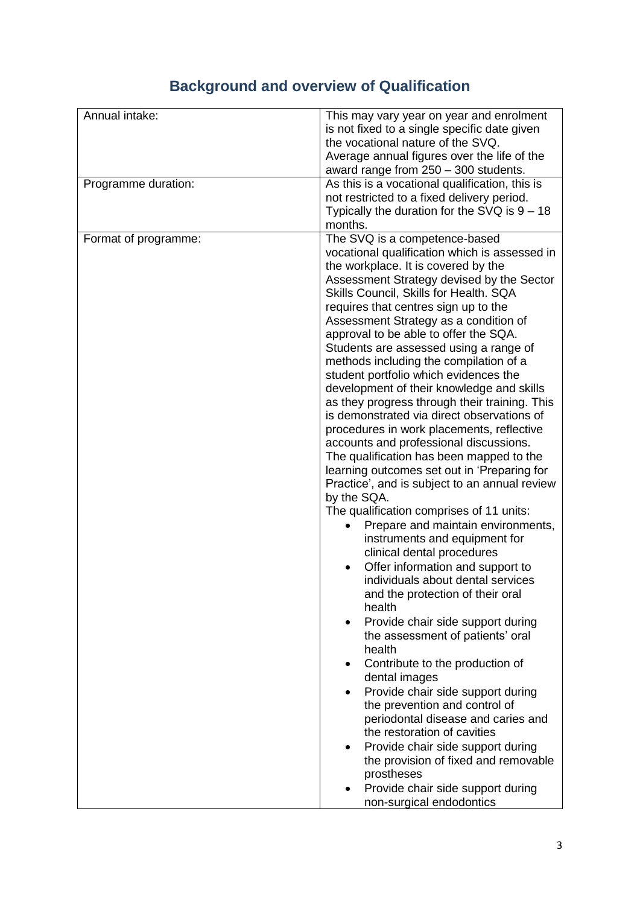# **Background and overview of Qualification**

| Annual intake:       | This may vary year on year and enrolment<br>is not fixed to a single specific date given<br>the vocational nature of the SVQ.<br>Average annual figures over the life of the<br>award range from 250 - 300 students.                                                                                                                                                                                                                                                                                                                                                                                                                                                                                                                                                                                                                                                                                                                                                                                                                                                                                                                                                                                                                                                                                                                                                                                                                     |
|----------------------|------------------------------------------------------------------------------------------------------------------------------------------------------------------------------------------------------------------------------------------------------------------------------------------------------------------------------------------------------------------------------------------------------------------------------------------------------------------------------------------------------------------------------------------------------------------------------------------------------------------------------------------------------------------------------------------------------------------------------------------------------------------------------------------------------------------------------------------------------------------------------------------------------------------------------------------------------------------------------------------------------------------------------------------------------------------------------------------------------------------------------------------------------------------------------------------------------------------------------------------------------------------------------------------------------------------------------------------------------------------------------------------------------------------------------------------|
| Programme duration:  | As this is a vocational qualification, this is<br>not restricted to a fixed delivery period.<br>Typically the duration for the SVQ is $9 - 18$<br>months.                                                                                                                                                                                                                                                                                                                                                                                                                                                                                                                                                                                                                                                                                                                                                                                                                                                                                                                                                                                                                                                                                                                                                                                                                                                                                |
| Format of programme: | The SVQ is a competence-based<br>vocational qualification which is assessed in<br>the workplace. It is covered by the<br>Assessment Strategy devised by the Sector<br>Skills Council, Skills for Health. SQA<br>requires that centres sign up to the<br>Assessment Strategy as a condition of<br>approval to be able to offer the SQA.<br>Students are assessed using a range of<br>methods including the compilation of a<br>student portfolio which evidences the<br>development of their knowledge and skills<br>as they progress through their training. This<br>is demonstrated via direct observations of<br>procedures in work placements, reflective<br>accounts and professional discussions.<br>The qualification has been mapped to the<br>learning outcomes set out in 'Preparing for<br>Practice', and is subject to an annual review<br>by the SQA.<br>The qualification comprises of 11 units:<br>Prepare and maintain environments,<br>instruments and equipment for<br>clinical dental procedures<br>Offer information and support to<br>individuals about dental services<br>and the protection of their oral<br>health<br>Provide chair side support during<br>$\bullet$<br>the assessment of patients' oral<br>health<br>Contribute to the production of<br>dental images<br>Provide chair side support during<br>the prevention and control of<br>periodontal disease and caries and<br>the restoration of cavities |
|                      | Provide chair side support during<br>the provision of fixed and removable<br>prostheses<br>Provide chair side support during<br>non-surgical endodontics                                                                                                                                                                                                                                                                                                                                                                                                                                                                                                                                                                                                                                                                                                                                                                                                                                                                                                                                                                                                                                                                                                                                                                                                                                                                                 |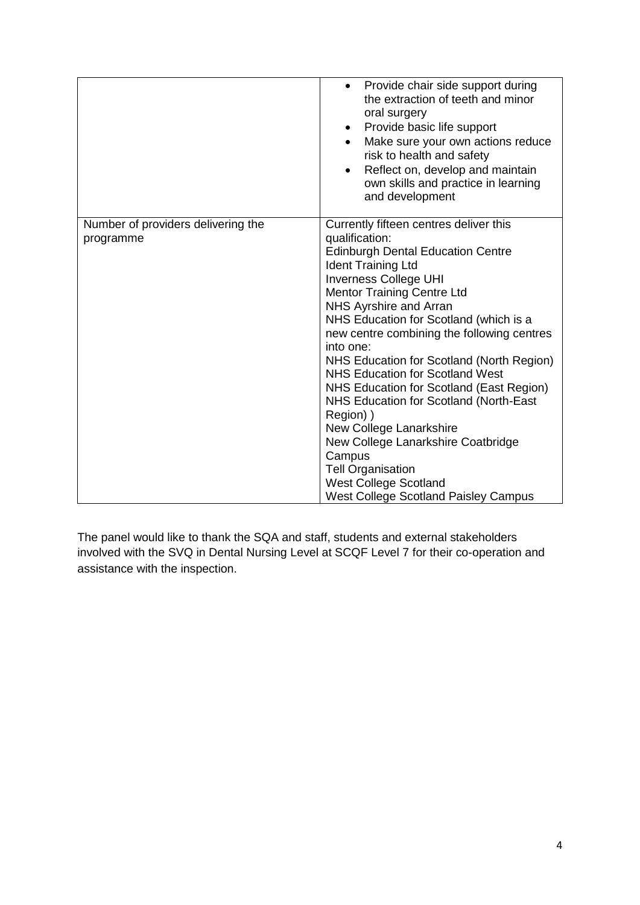|                                                 | Provide chair side support during<br>the extraction of teeth and minor<br>oral surgery<br>Provide basic life support<br>Make sure your own actions reduce<br>risk to health and safety<br>Reflect on, develop and maintain<br>$\bullet$<br>own skills and practice in learning<br>and development                                                                                                                                                                                                                                                                                                                                                                                                                     |
|-------------------------------------------------|-----------------------------------------------------------------------------------------------------------------------------------------------------------------------------------------------------------------------------------------------------------------------------------------------------------------------------------------------------------------------------------------------------------------------------------------------------------------------------------------------------------------------------------------------------------------------------------------------------------------------------------------------------------------------------------------------------------------------|
| Number of providers delivering the<br>programme | Currently fifteen centres deliver this<br>qualification:<br><b>Edinburgh Dental Education Centre</b><br><b>Ident Training Ltd</b><br><b>Inverness College UHI</b><br><b>Mentor Training Centre Ltd</b><br>NHS Ayrshire and Arran<br>NHS Education for Scotland (which is a<br>new centre combining the following centres<br>into one:<br>NHS Education for Scotland (North Region)<br><b>NHS Education for Scotland West</b><br>NHS Education for Scotland (East Region)<br>NHS Education for Scotland (North-East<br>Region) )<br>New College Lanarkshire<br>New College Lanarkshire Coatbridge<br>Campus<br><b>Tell Organisation</b><br><b>West College Scotland</b><br><b>West College Scotland Paisley Campus</b> |

The panel would like to thank the SQA and staff, students and external stakeholders involved with the SVQ in Dental Nursing Level at SCQF Level 7 for their co-operation and assistance with the inspection.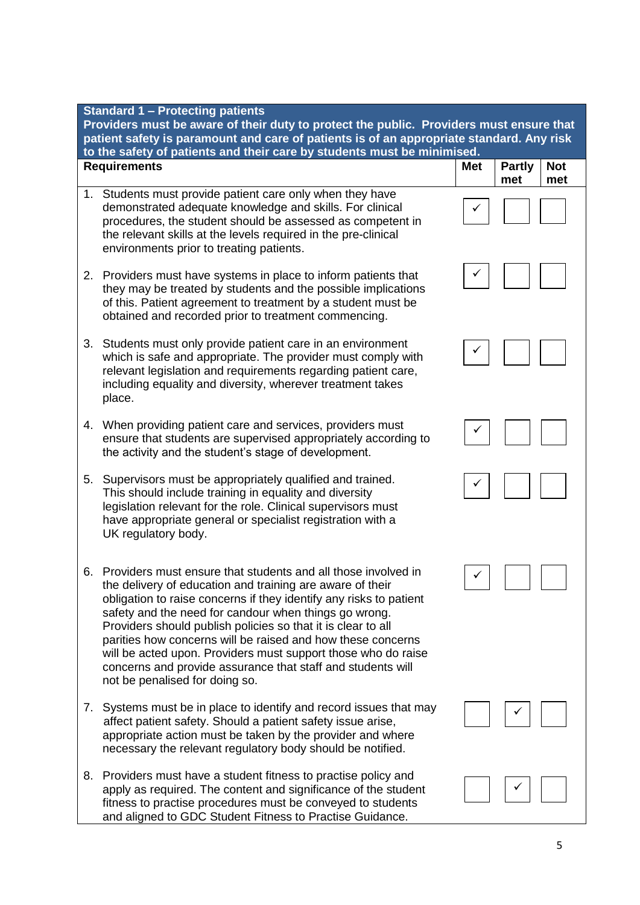| <b>Standard 1 - Protecting patients</b><br>Providers must be aware of their duty to protect the public. Providers must ensure that<br>patient safety is paramount and care of patients is of an appropriate standard. Any risk<br>to the safety of patients and their care by students must be minimised. |                                                                                                                                                                                                                                                                                                                                                                                                                                                                                                                                                            |            |                      |                   |
|-----------------------------------------------------------------------------------------------------------------------------------------------------------------------------------------------------------------------------------------------------------------------------------------------------------|------------------------------------------------------------------------------------------------------------------------------------------------------------------------------------------------------------------------------------------------------------------------------------------------------------------------------------------------------------------------------------------------------------------------------------------------------------------------------------------------------------------------------------------------------------|------------|----------------------|-------------------|
|                                                                                                                                                                                                                                                                                                           | <b>Requirements</b>                                                                                                                                                                                                                                                                                                                                                                                                                                                                                                                                        | <b>Met</b> | <b>Partly</b><br>met | <b>Not</b><br>met |
| 1.                                                                                                                                                                                                                                                                                                        | Students must provide patient care only when they have<br>demonstrated adequate knowledge and skills. For clinical<br>procedures, the student should be assessed as competent in<br>the relevant skills at the levels required in the pre-clinical<br>environments prior to treating patients.                                                                                                                                                                                                                                                             |            |                      |                   |
| 2.                                                                                                                                                                                                                                                                                                        | Providers must have systems in place to inform patients that<br>they may be treated by students and the possible implications<br>of this. Patient agreement to treatment by a student must be<br>obtained and recorded prior to treatment commencing.                                                                                                                                                                                                                                                                                                      |            |                      |                   |
| 3.                                                                                                                                                                                                                                                                                                        | Students must only provide patient care in an environment<br>which is safe and appropriate. The provider must comply with<br>relevant legislation and requirements regarding patient care,<br>including equality and diversity, wherever treatment takes<br>place.                                                                                                                                                                                                                                                                                         |            |                      |                   |
| 4.                                                                                                                                                                                                                                                                                                        | When providing patient care and services, providers must<br>ensure that students are supervised appropriately according to<br>the activity and the student's stage of development.                                                                                                                                                                                                                                                                                                                                                                         |            |                      |                   |
| 5.                                                                                                                                                                                                                                                                                                        | Supervisors must be appropriately qualified and trained.<br>This should include training in equality and diversity<br>legislation relevant for the role. Clinical supervisors must<br>have appropriate general or specialist registration with a<br>UK regulatory body.                                                                                                                                                                                                                                                                                    |            |                      |                   |
| 6.                                                                                                                                                                                                                                                                                                        | Providers must ensure that students and all those involved in<br>the delivery of education and training are aware of their<br>obligation to raise concerns if they identify any risks to patient<br>safety and the need for candour when things go wrong.<br>Providers should publish policies so that it is clear to all<br>parities how concerns will be raised and how these concerns<br>will be acted upon. Providers must support those who do raise<br>concerns and provide assurance that staff and students will<br>not be penalised for doing so. |            |                      |                   |
| 7.                                                                                                                                                                                                                                                                                                        | Systems must be in place to identify and record issues that may<br>affect patient safety. Should a patient safety issue arise,<br>appropriate action must be taken by the provider and where<br>necessary the relevant regulatory body should be notified.                                                                                                                                                                                                                                                                                                 |            |                      |                   |
| 8.                                                                                                                                                                                                                                                                                                        | Providers must have a student fitness to practise policy and<br>apply as required. The content and significance of the student<br>fitness to practise procedures must be conveyed to students<br>and aligned to GDC Student Fitness to Practise Guidance.                                                                                                                                                                                                                                                                                                  |            |                      |                   |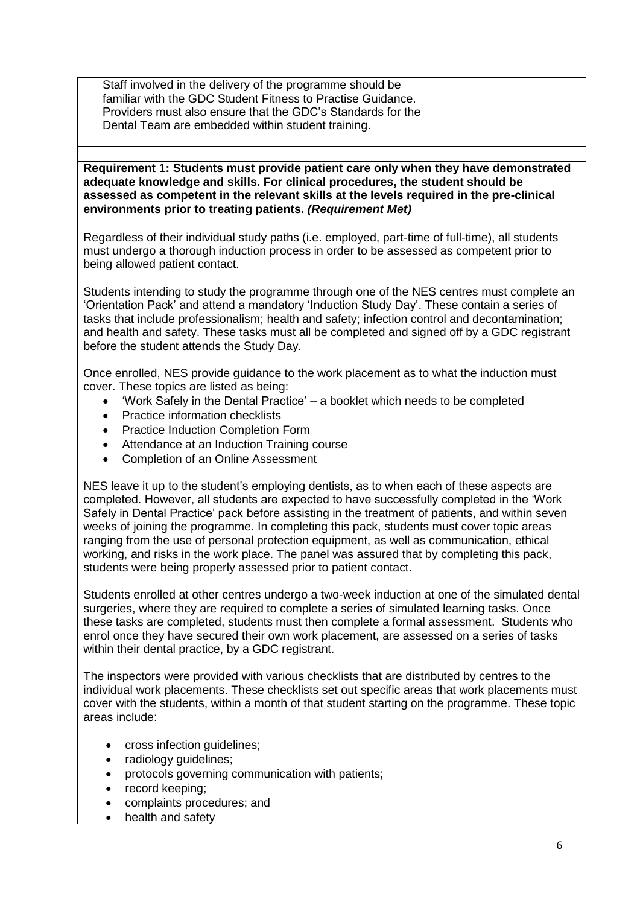Staff involved in the delivery of the programme should be familiar with the GDC Student Fitness to Practise Guidance. Providers must also ensure that the GDC's Standards for the Dental Team are embedded within student training.

### **Requirement 1: Students must provide patient care only when they have demonstrated adequate knowledge and skills. For clinical procedures, the student should be assessed as competent in the relevant skills at the levels required in the pre-clinical environments prior to treating patients.** *(Requirement Met)*

Regardless of their individual study paths (i.e. employed, part-time of full-time), all students must undergo a thorough induction process in order to be assessed as competent prior to being allowed patient contact.

Students intending to study the programme through one of the NES centres must complete an 'Orientation Pack' and attend a mandatory 'Induction Study Day'. These contain a series of tasks that include professionalism; health and safety; infection control and decontamination; and health and safety. These tasks must all be completed and signed off by a GDC registrant before the student attends the Study Day.

Once enrolled, NES provide guidance to the work placement as to what the induction must cover. These topics are listed as being:

- 'Work Safely in the Dental Practice' a booklet which needs to be completed
- Practice information checklists
- Practice Induction Completion Form
- Attendance at an Induction Training course
- Completion of an Online Assessment

NES leave it up to the student's employing dentists, as to when each of these aspects are completed. However, all students are expected to have successfully completed in the 'Work Safely in Dental Practice' pack before assisting in the treatment of patients, and within seven weeks of joining the programme. In completing this pack, students must cover topic areas ranging from the use of personal protection equipment, as well as communication, ethical working, and risks in the work place. The panel was assured that by completing this pack, students were being properly assessed prior to patient contact.

Students enrolled at other centres undergo a two-week induction at one of the simulated dental surgeries, where they are required to complete a series of simulated learning tasks. Once these tasks are completed, students must then complete a formal assessment. Students who enrol once they have secured their own work placement, are assessed on a series of tasks within their dental practice, by a GDC registrant.

The inspectors were provided with various checklists that are distributed by centres to the individual work placements. These checklists set out specific areas that work placements must cover with the students, within a month of that student starting on the programme. These topic areas include:

- cross infection guidelines;
- radiology guidelines:
- protocols governing communication with patients;
- record keeping:
- complaints procedures; and
- health and safety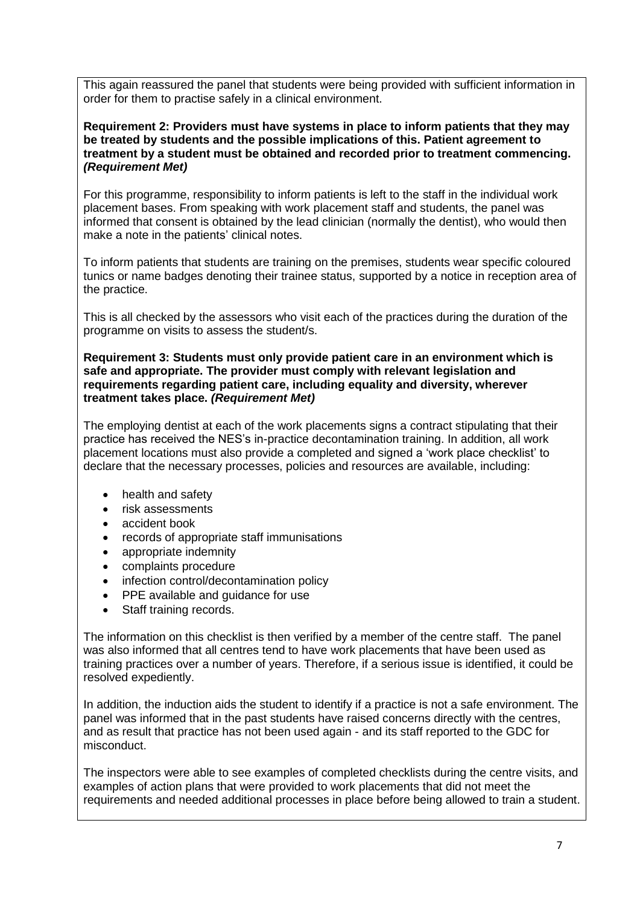This again reassured the panel that students were being provided with sufficient information in order for them to practise safely in a clinical environment.

## **Requirement 2: Providers must have systems in place to inform patients that they may be treated by students and the possible implications of this. Patient agreement to treatment by a student must be obtained and recorded prior to treatment commencing.**  *(Requirement Met)*

For this programme, responsibility to inform patients is left to the staff in the individual work placement bases. From speaking with work placement staff and students, the panel was informed that consent is obtained by the lead clinician (normally the dentist), who would then make a note in the patients' clinical notes.

To inform patients that students are training on the premises, students wear specific coloured tunics or name badges denoting their trainee status, supported by a notice in reception area of the practice.

This is all checked by the assessors who visit each of the practices during the duration of the programme on visits to assess the student/s.

**Requirement 3: Students must only provide patient care in an environment which is safe and appropriate. The provider must comply with relevant legislation and requirements regarding patient care, including equality and diversity, wherever treatment takes place.** *(Requirement Met)*

The employing dentist at each of the work placements signs a contract stipulating that their practice has received the NES's in-practice decontamination training. In addition, all work placement locations must also provide a completed and signed a 'work place checklist' to declare that the necessary processes, policies and resources are available, including:

- health and safety
- risk assessments
- accident book
- records of appropriate staff immunisations
- appropriate indemnity
- complaints procedure
- infection control/decontamination policy
- PPE available and guidance for use
- Staff training records.

The information on this checklist is then verified by a member of the centre staff. The panel was also informed that all centres tend to have work placements that have been used as training practices over a number of years. Therefore, if a serious issue is identified, it could be resolved expediently.

In addition, the induction aids the student to identify if a practice is not a safe environment. The panel was informed that in the past students have raised concerns directly with the centres, and as result that practice has not been used again - and its staff reported to the GDC for misconduct.

The inspectors were able to see examples of completed checklists during the centre visits, and examples of action plans that were provided to work placements that did not meet the requirements and needed additional processes in place before being allowed to train a student.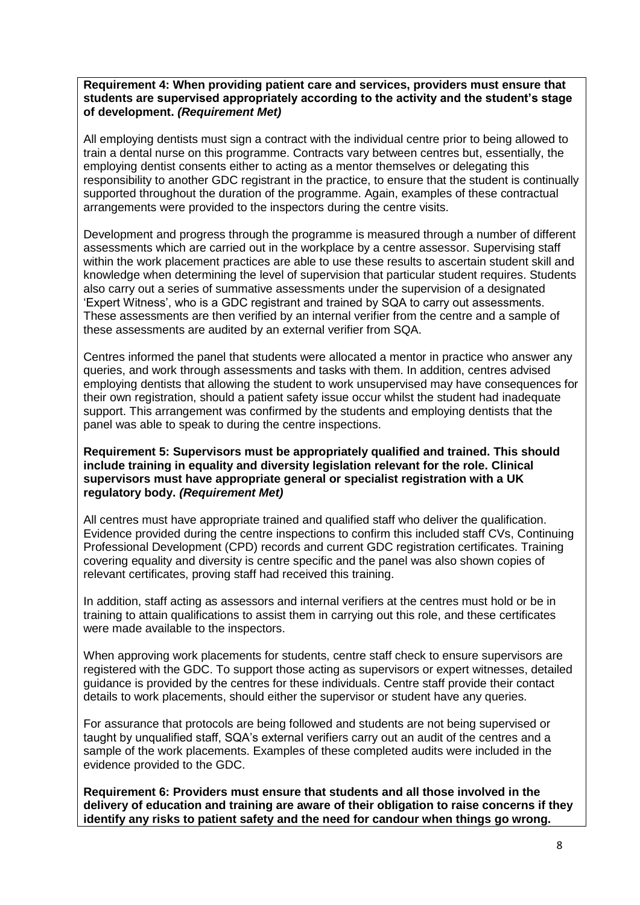#### **Requirement 4: When providing patient care and services, providers must ensure that students are supervised appropriately according to the activity and the student's stage of development.** *(Requirement Met)*

All employing dentists must sign a contract with the individual centre prior to being allowed to train a dental nurse on this programme. Contracts vary between centres but, essentially, the employing dentist consents either to acting as a mentor themselves or delegating this responsibility to another GDC registrant in the practice, to ensure that the student is continually supported throughout the duration of the programme. Again, examples of these contractual arrangements were provided to the inspectors during the centre visits.

Development and progress through the programme is measured through a number of different assessments which are carried out in the workplace by a centre assessor. Supervising staff within the work placement practices are able to use these results to ascertain student skill and knowledge when determining the level of supervision that particular student requires. Students also carry out a series of summative assessments under the supervision of a designated 'Expert Witness', who is a GDC registrant and trained by SQA to carry out assessments. These assessments are then verified by an internal verifier from the centre and a sample of these assessments are audited by an external verifier from SQA.

Centres informed the panel that students were allocated a mentor in practice who answer any queries, and work through assessments and tasks with them. In addition, centres advised employing dentists that allowing the student to work unsupervised may have consequences for their own registration, should a patient safety issue occur whilst the student had inadequate support. This arrangement was confirmed by the students and employing dentists that the panel was able to speak to during the centre inspections.

## **Requirement 5: Supervisors must be appropriately qualified and trained. This should include training in equality and diversity legislation relevant for the role. Clinical supervisors must have appropriate general or specialist registration with a UK regulatory body.** *(Requirement Met)*

All centres must have appropriate trained and qualified staff who deliver the qualification. Evidence provided during the centre inspections to confirm this included staff CVs, Continuing Professional Development (CPD) records and current GDC registration certificates. Training covering equality and diversity is centre specific and the panel was also shown copies of relevant certificates, proving staff had received this training.

In addition, staff acting as assessors and internal verifiers at the centres must hold or be in training to attain qualifications to assist them in carrying out this role, and these certificates were made available to the inspectors.

When approving work placements for students, centre staff check to ensure supervisors are registered with the GDC. To support those acting as supervisors or expert witnesses, detailed guidance is provided by the centres for these individuals. Centre staff provide their contact details to work placements, should either the supervisor or student have any queries.

For assurance that protocols are being followed and students are not being supervised or taught by unqualified staff, SQA's external verifiers carry out an audit of the centres and a sample of the work placements. Examples of these completed audits were included in the evidence provided to the GDC.

**Requirement 6: Providers must ensure that students and all those involved in the delivery of education and training are aware of their obligation to raise concerns if they identify any risks to patient safety and the need for candour when things go wrong.**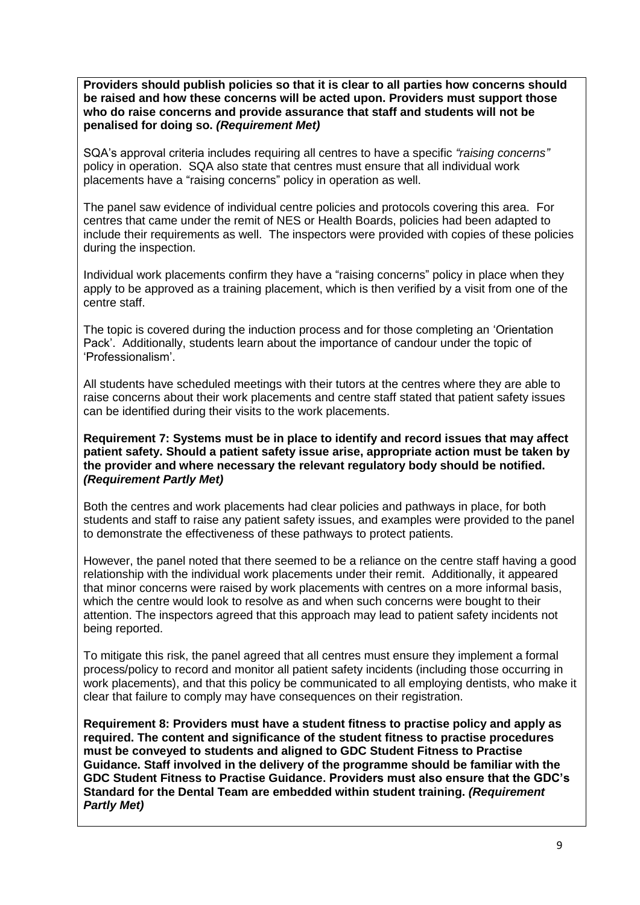**Providers should publish policies so that it is clear to all parties how concerns should be raised and how these concerns will be acted upon. Providers must support those who do raise concerns and provide assurance that staff and students will not be penalised for doing so.** *(Requirement Met)*

SQA's approval criteria includes requiring all centres to have a specific *"raising concerns"* policy in operation. SQA also state that centres must ensure that all individual work placements have a "raising concerns" policy in operation as well.

The panel saw evidence of individual centre policies and protocols covering this area. For centres that came under the remit of NES or Health Boards, policies had been adapted to include their requirements as well. The inspectors were provided with copies of these policies during the inspection.

Individual work placements confirm they have a "raising concerns" policy in place when they apply to be approved as a training placement, which is then verified by a visit from one of the centre staff.

The topic is covered during the induction process and for those completing an 'Orientation Pack'. Additionally, students learn about the importance of candour under the topic of 'Professionalism'.

All students have scheduled meetings with their tutors at the centres where they are able to raise concerns about their work placements and centre staff stated that patient safety issues can be identified during their visits to the work placements.

## **Requirement 7: Systems must be in place to identify and record issues that may affect patient safety. Should a patient safety issue arise, appropriate action must be taken by the provider and where necessary the relevant regulatory body should be notified.** *(Requirement Partly Met)*

Both the centres and work placements had clear policies and pathways in place, for both students and staff to raise any patient safety issues, and examples were provided to the panel to demonstrate the effectiveness of these pathways to protect patients.

However, the panel noted that there seemed to be a reliance on the centre staff having a good relationship with the individual work placements under their remit. Additionally, it appeared that minor concerns were raised by work placements with centres on a more informal basis, which the centre would look to resolve as and when such concerns were bought to their attention. The inspectors agreed that this approach may lead to patient safety incidents not being reported.

To mitigate this risk, the panel agreed that all centres must ensure they implement a formal process/policy to record and monitor all patient safety incidents (including those occurring in work placements), and that this policy be communicated to all employing dentists, who make it clear that failure to comply may have consequences on their registration.

**Requirement 8: Providers must have a student fitness to practise policy and apply as required. The content and significance of the student fitness to practise procedures must be conveyed to students and aligned to GDC Student Fitness to Practise Guidance. Staff involved in the delivery of the programme should be familiar with the GDC Student Fitness to Practise Guidance. Providers must also ensure that the GDC's Standard for the Dental Team are embedded within student training.** *(Requirement Partly Met)*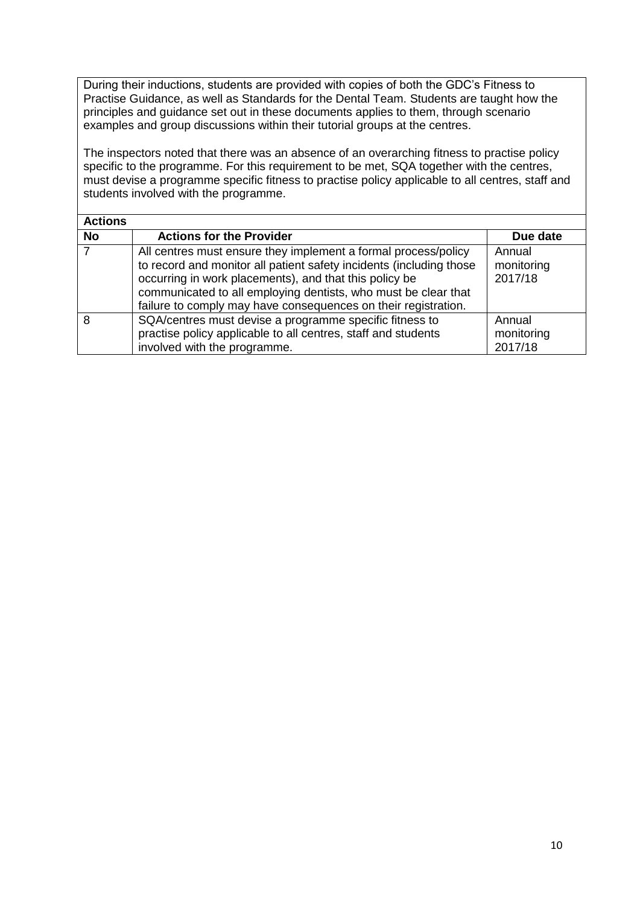During their inductions, students are provided with copies of both the GDC's Fitness to Practise Guidance, as well as Standards for the Dental Team. Students are taught how the principles and guidance set out in these documents applies to them, through scenario examples and group discussions within their tutorial groups at the centres.

The inspectors noted that there was an absence of an overarching fitness to practise policy specific to the programme. For this requirement to be met, SQA together with the centres, must devise a programme specific fitness to practise policy applicable to all centres, staff and students involved with the programme.

| <b>Actions</b> |                                                                                                                                                                                                                                                                                                                                     |                                 |
|----------------|-------------------------------------------------------------------------------------------------------------------------------------------------------------------------------------------------------------------------------------------------------------------------------------------------------------------------------------|---------------------------------|
| <b>No</b>      | <b>Actions for the Provider</b>                                                                                                                                                                                                                                                                                                     | Due date                        |
|                | All centres must ensure they implement a formal process/policy<br>to record and monitor all patient safety incidents (including those<br>occurring in work placements), and that this policy be<br>communicated to all employing dentists, who must be clear that<br>failure to comply may have consequences on their registration. | Annual<br>monitoring<br>2017/18 |
| 8              | SQA/centres must devise a programme specific fitness to<br>practise policy applicable to all centres, staff and students<br>involved with the programme.                                                                                                                                                                            | Annual<br>monitoring<br>2017/18 |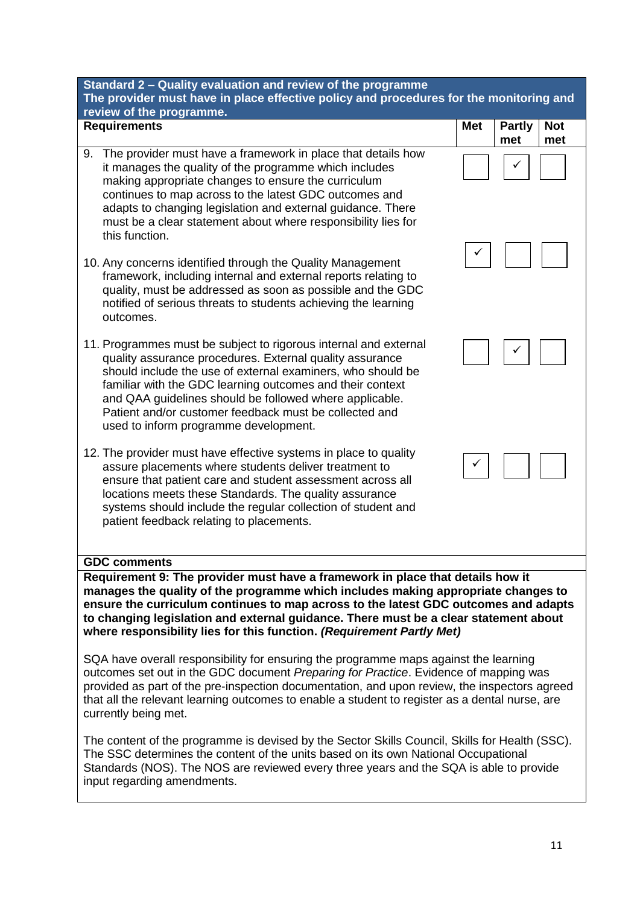| Standard 2 - Quality evaluation and review of the programme<br>The provider must have in place effective policy and procedures for the monitoring and                                                                                                                                                                                                                                                                                                                                                                                                                                                                                                                                                                                                                                                                                 |            |                                           |  |  |
|---------------------------------------------------------------------------------------------------------------------------------------------------------------------------------------------------------------------------------------------------------------------------------------------------------------------------------------------------------------------------------------------------------------------------------------------------------------------------------------------------------------------------------------------------------------------------------------------------------------------------------------------------------------------------------------------------------------------------------------------------------------------------------------------------------------------------------------|------------|-------------------------------------------|--|--|
| review of the programme.                                                                                                                                                                                                                                                                                                                                                                                                                                                                                                                                                                                                                                                                                                                                                                                                              |            |                                           |  |  |
| <b>Requirements</b>                                                                                                                                                                                                                                                                                                                                                                                                                                                                                                                                                                                                                                                                                                                                                                                                                   | <b>Met</b> | <b>Partly</b><br><b>Not</b><br>met<br>met |  |  |
| The provider must have a framework in place that details how<br>9.<br>it manages the quality of the programme which includes<br>making appropriate changes to ensure the curriculum<br>continues to map across to the latest GDC outcomes and<br>adapts to changing legislation and external guidance. There<br>must be a clear statement about where responsibility lies for<br>this function.                                                                                                                                                                                                                                                                                                                                                                                                                                       |            |                                           |  |  |
| 10. Any concerns identified through the Quality Management<br>framework, including internal and external reports relating to<br>quality, must be addressed as soon as possible and the GDC<br>notified of serious threats to students achieving the learning<br>outcomes.                                                                                                                                                                                                                                                                                                                                                                                                                                                                                                                                                             |            |                                           |  |  |
| 11. Programmes must be subject to rigorous internal and external<br>quality assurance procedures. External quality assurance<br>should include the use of external examiners, who should be<br>familiar with the GDC learning outcomes and their context<br>and QAA guidelines should be followed where applicable.<br>Patient and/or customer feedback must be collected and<br>used to inform programme development.                                                                                                                                                                                                                                                                                                                                                                                                                |            |                                           |  |  |
| 12. The provider must have effective systems in place to quality<br>assure placements where students deliver treatment to<br>ensure that patient care and student assessment across all<br>locations meets these Standards. The quality assurance<br>systems should include the regular collection of student and<br>patient feedback relating to placements.                                                                                                                                                                                                                                                                                                                                                                                                                                                                         |            |                                           |  |  |
| <b>GDC comments</b>                                                                                                                                                                                                                                                                                                                                                                                                                                                                                                                                                                                                                                                                                                                                                                                                                   |            |                                           |  |  |
| Requirement 9: The provider must have a framework in place that details how it<br>manages the quality of the programme which includes making appropriate changes to<br>ensure the curriculum continues to map across to the latest GDC outcomes and adapts<br>to changing legislation and external guidance. There must be a clear statement about<br>where responsibility lies for this function. (Requirement Partly Met)<br>SQA have overall responsibility for ensuring the programme maps against the learning<br>outcomes set out in the GDC document Preparing for Practice. Evidence of mapping was<br>provided as part of the pre-inspection documentation, and upon review, the inspectors agreed<br>that all the relevant learning outcomes to enable a student to register as a dental nurse, are<br>currently being met. |            |                                           |  |  |

The content of the programme is devised by the Sector Skills Council, Skills for Health (SSC). The SSC determines the content of the units based on its own National Occupational Standards (NOS). The NOS are reviewed every three years and the SQA is able to provide input regarding amendments.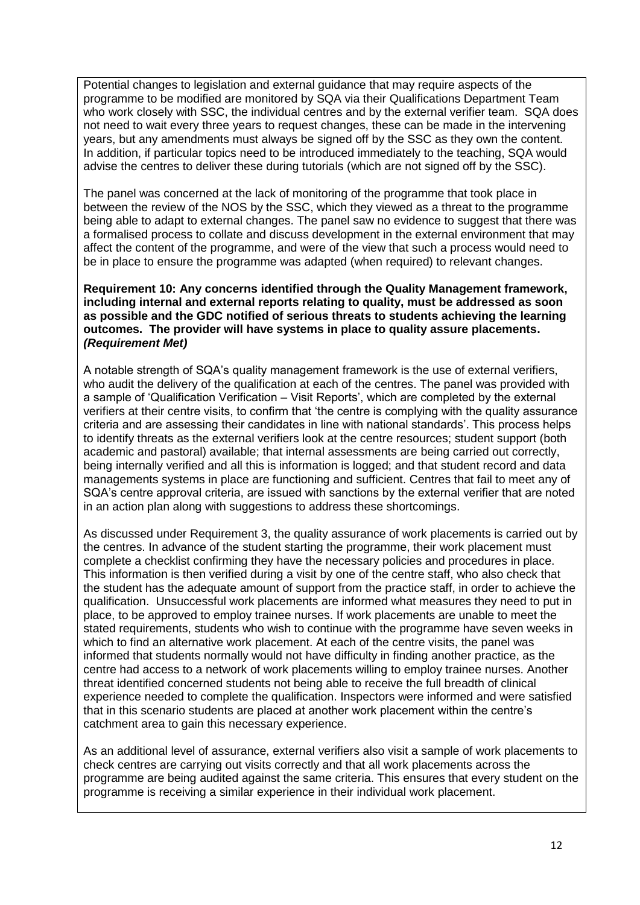Potential changes to legislation and external guidance that may require aspects of the programme to be modified are monitored by SQA via their Qualifications Department Team who work closely with SSC, the individual centres and by the external verifier team. SQA does not need to wait every three years to request changes, these can be made in the intervening years, but any amendments must always be signed off by the SSC as they own the content. In addition, if particular topics need to be introduced immediately to the teaching, SQA would advise the centres to deliver these during tutorials (which are not signed off by the SSC).

The panel was concerned at the lack of monitoring of the programme that took place in between the review of the NOS by the SSC, which they viewed as a threat to the programme being able to adapt to external changes. The panel saw no evidence to suggest that there was a formalised process to collate and discuss development in the external environment that may affect the content of the programme, and were of the view that such a process would need to be in place to ensure the programme was adapted (when required) to relevant changes.

**Requirement 10: Any concerns identified through the Quality Management framework, including internal and external reports relating to quality, must be addressed as soon as possible and the GDC notified of serious threats to students achieving the learning outcomes. The provider will have systems in place to quality assure placements.** *(Requirement Met)*

A notable strength of SQA's quality management framework is the use of external verifiers, who audit the delivery of the qualification at each of the centres. The panel was provided with a sample of 'Qualification Verification – Visit Reports', which are completed by the external verifiers at their centre visits, to confirm that 'the centre is complying with the quality assurance criteria and are assessing their candidates in line with national standards'. This process helps to identify threats as the external verifiers look at the centre resources; student support (both academic and pastoral) available; that internal assessments are being carried out correctly, being internally verified and all this is information is logged; and that student record and data managements systems in place are functioning and sufficient. Centres that fail to meet any of SQA's centre approval criteria, are issued with sanctions by the external verifier that are noted in an action plan along with suggestions to address these shortcomings.

As discussed under Requirement 3, the quality assurance of work placements is carried out by the centres. In advance of the student starting the programme, their work placement must complete a checklist confirming they have the necessary policies and procedures in place. This information is then verified during a visit by one of the centre staff, who also check that the student has the adequate amount of support from the practice staff, in order to achieve the qualification. Unsuccessful work placements are informed what measures they need to put in place, to be approved to employ trainee nurses. If work placements are unable to meet the stated requirements, students who wish to continue with the programme have seven weeks in which to find an alternative work placement. At each of the centre visits, the panel was informed that students normally would not have difficulty in finding another practice, as the centre had access to a network of work placements willing to employ trainee nurses. Another threat identified concerned students not being able to receive the full breadth of clinical experience needed to complete the qualification. Inspectors were informed and were satisfied that in this scenario students are placed at another work placement within the centre's catchment area to gain this necessary experience.

As an additional level of assurance, external verifiers also visit a sample of work placements to check centres are carrying out visits correctly and that all work placements across the programme are being audited against the same criteria. This ensures that every student on the programme is receiving a similar experience in their individual work placement.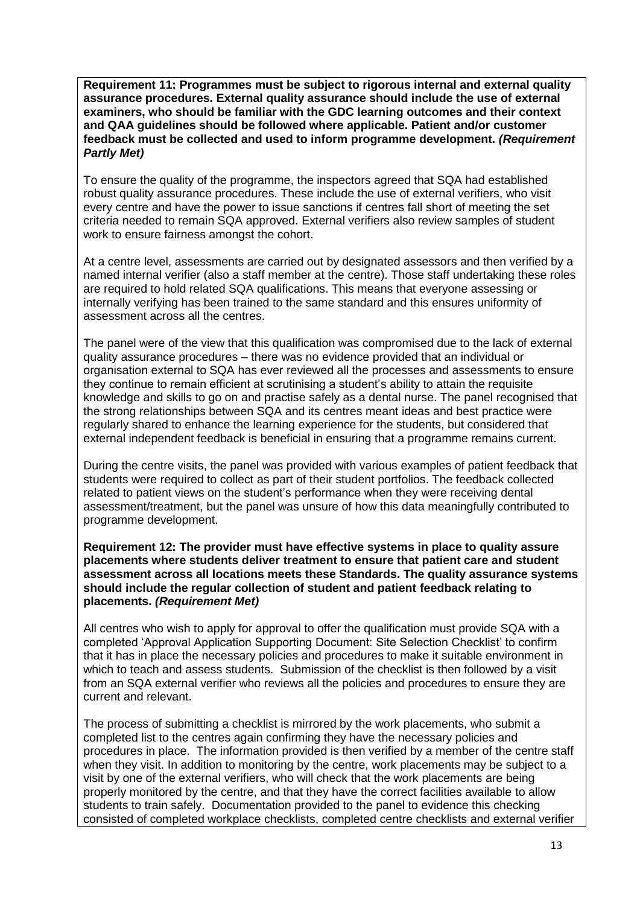**Requirement 11: Programmes must be subject to rigorous internal and external quality assurance procedures. External quality assurance should include the use of external examiners, who should be familiar with the GDC learning outcomes and their context and QAA guidelines should be followed where applicable. Patient and/or customer feedback must be collected and used to inform programme development.** *(Requirement Partly Met)*

To ensure the quality of the programme, the inspectors agreed that SQA had established robust quality assurance procedures. These include the use of external verifiers, who visit every centre and have the power to issue sanctions if centres fall short of meeting the set criteria needed to remain SQA approved. External verifiers also review samples of student work to ensure fairness amongst the cohort.

At a centre level, assessments are carried out by designated assessors and then verified by a named internal verifier (also a staff member at the centre). Those staff undertaking these roles are required to hold related SQA qualifications. This means that everyone assessing or internally verifying has been trained to the same standard and this ensures uniformity of assessment across all the centres.

The panel were of the view that this qualification was compromised due to the lack of external quality assurance procedures – there was no evidence provided that an individual or organisation external to SQA has ever reviewed all the processes and assessments to ensure they continue to remain efficient at scrutinising a student's ability to attain the requisite knowledge and skills to go on and practise safely as a dental nurse. The panel recognised that the strong relationships between SQA and its centres meant ideas and best practice were regularly shared to enhance the learning experience for the students, but considered that external independent feedback is beneficial in ensuring that a programme remains current.

During the centre visits, the panel was provided with various examples of patient feedback that students were required to collect as part of their student portfolios. The feedback collected related to patient views on the student's performance when they were receiving dental assessment/treatment, but the panel was unsure of how this data meaningfully contributed to programme development.

**Requirement 12: The provider must have effective systems in place to quality assure placements where students deliver treatment to ensure that patient care and student assessment across all locations meets these Standards. The quality assurance systems should include the regular collection of student and patient feedback relating to placements.** *(Requirement Met)*

All centres who wish to apply for approval to offer the qualification must provide SQA with a completed 'Approval Application Supporting Document: Site Selection Checklist' to confirm that it has in place the necessary policies and procedures to make it suitable environment in which to teach and assess students. Submission of the checklist is then followed by a visit from an SQA external verifier who reviews all the policies and procedures to ensure they are current and relevant.

The process of submitting a checklist is mirrored by the work placements, who submit a completed list to the centres again confirming they have the necessary policies and procedures in place. The information provided is then verified by a member of the centre staff when they visit. In addition to monitoring by the centre, work placements may be subject to a visit by one of the external verifiers, who will check that the work placements are being properly monitored by the centre, and that they have the correct facilities available to allow students to train safely. Documentation provided to the panel to evidence this checking consisted of completed workplace checklists, completed centre checklists and external verifier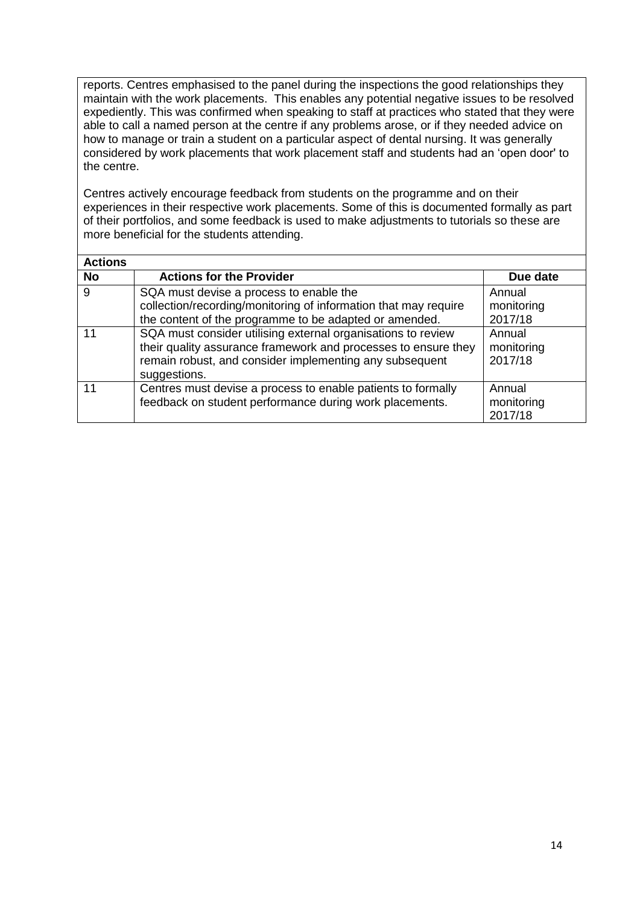reports. Centres emphasised to the panel during the inspections the good relationships they maintain with the work placements. This enables any potential negative issues to be resolved expediently. This was confirmed when speaking to staff at practices who stated that they were able to call a named person at the centre if any problems arose, or if they needed advice on how to manage or train a student on a particular aspect of dental nursing. It was generally considered by work placements that work placement staff and students had an 'open door' to the centre.

Centres actively encourage feedback from students on the programme and on their experiences in their respective work placements. Some of this is documented formally as part of their portfolios, and some feedback is used to make adjustments to tutorials so these are more beneficial for the students attending.

| <b>Actions</b> |                                                                                                                                                                                                           |                                 |
|----------------|-----------------------------------------------------------------------------------------------------------------------------------------------------------------------------------------------------------|---------------------------------|
| <b>No</b>      | <b>Actions for the Provider</b>                                                                                                                                                                           | Due date                        |
| 9              | SQA must devise a process to enable the<br>collection/recording/monitoring of information that may require<br>the content of the programme to be adapted or amended.                                      | Annual<br>monitoring<br>2017/18 |
| 11             | SQA must consider utilising external organisations to review<br>their quality assurance framework and processes to ensure they<br>remain robust, and consider implementing any subsequent<br>suggestions. | Annual<br>monitoring<br>2017/18 |
| 11             | Centres must devise a process to enable patients to formally<br>feedback on student performance during work placements.                                                                                   | Annual<br>monitoring<br>2017/18 |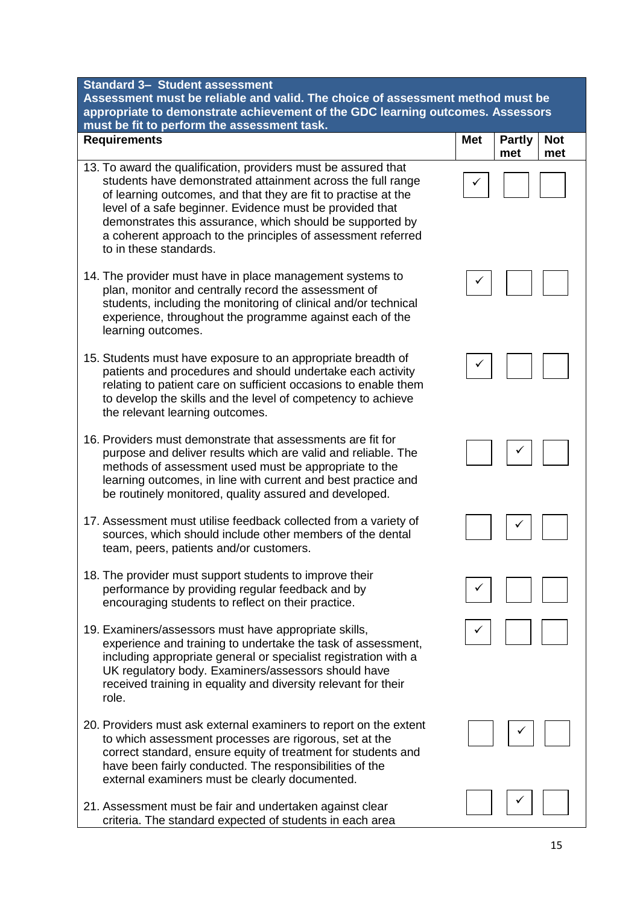**Requirements** 

Assessment must be reliable and valid. The choice of assessme appropriate to demonstrate achievement of the GDC learning ou **must be fit to perform the assessment task.**

- 13. To award the qualification, providers must be assured that students have demonstrated attainment across the full range of learning outcomes, and that they are fit to practise at the level of a safe beginner. Evidence must be provided that demonstrates this assurance, which should be supported by a coherent approach to the principles of assessment referred to in these standards.
- 14. The provider must have in place management systems to plan, monitor and centrally record the assessment of students, including the monitoring of clinical and/or technical experience, throughout the programme against each of the learning outcomes.
- 15. Students must have exposure to an appropriate breadth of patients and procedures and should undertake each activity relating to patient care on sufficient occasions to enable them to develop the skills and the level of competency to achieve the relevant learning outcomes.
- 16. Providers must demonstrate that assessments are fit for purpose and deliver results which are valid and reliable. The methods of assessment used must be appropriate to the learning outcomes, in line with current and best practice and be routinely monitored, quality assured and developed.
- 17. Assessment must utilise feedback collected from a variety of sources, which should include other members of the dental team, peers, patients and/or customers.
- 18. The provider must support students to improve their performance by providing regular feedback and by encouraging students to reflect on their practice.
- 19. Examiners/assessors must have appropriate skills, experience and training to undertake the task of assessment, including appropriate general or specialist registration with a UK regulatory body. Examiners/assessors should have received training in equality and diversity relevant for their role.
- 20. Providers must ask external examiners to report on the extent to which assessment processes are rigorous, set at the correct standard, ensure equity of treatment for students and have been fairly conducted. The responsibilities of the external examiners must be clearly documented.
- 21. Assessment must be fair and undertaken against clear criteria. The standard expected of students in each area

| $\cdot$ nt method must be<br><b>Itcomes. Assessors</b> |            |                      |                   |  |
|--------------------------------------------------------|------------|----------------------|-------------------|--|
|                                                        | <b>Met</b> | <b>Partly</b><br>met | <b>Not</b><br>met |  |
|                                                        |            |                      |                   |  |
|                                                        |            |                      |                   |  |
|                                                        |            |                      |                   |  |
|                                                        |            |                      |                   |  |
|                                                        |            |                      |                   |  |
|                                                        |            |                      |                   |  |
|                                                        |            | $\sqrt{ }$           |                   |  |
|                                                        |            | $\sqrt{2}$           | $\mathbb{R}^n$    |  |
|                                                        |            | $\boxed{\checkmark}$ |                   |  |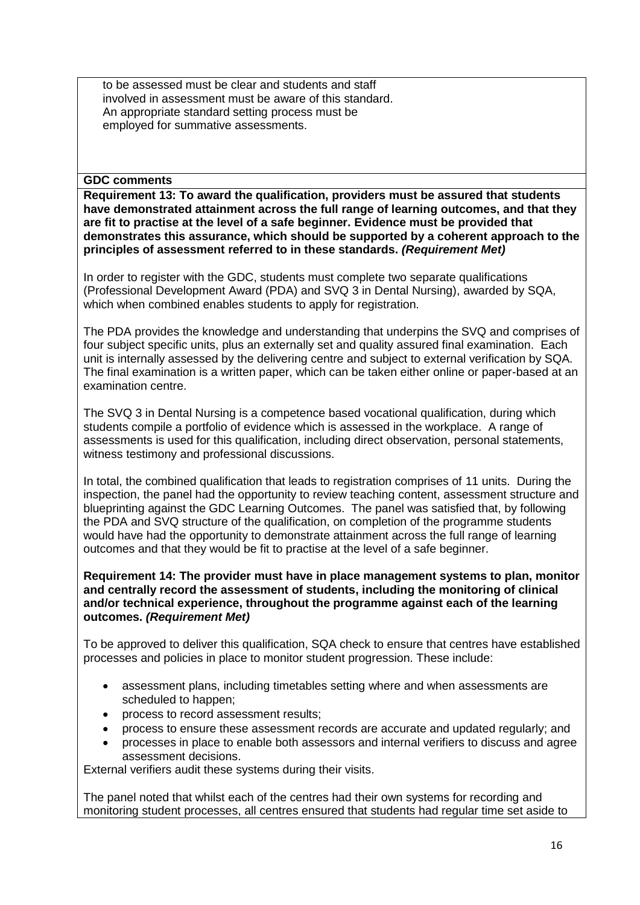to be assessed must be clear and students and staff involved in assessment must be aware of this standard. An appropriate standard setting process must be employed for summative assessments.

## **GDC comments**

**Requirement 13: To award the qualification, providers must be assured that students have demonstrated attainment across the full range of learning outcomes, and that they are fit to practise at the level of a safe beginner. Evidence must be provided that demonstrates this assurance, which should be supported by a coherent approach to the principles of assessment referred to in these standards.** *(Requirement Met)*

In order to register with the GDC, students must complete two separate qualifications (Professional Development Award (PDA) and SVQ 3 in Dental Nursing), awarded by SQA, which when combined enables students to apply for registration.

The PDA provides the knowledge and understanding that underpins the SVQ and comprises of four subject specific units, plus an externally set and quality assured final examination. Each unit is internally assessed by the delivering centre and subject to external verification by SQA. The final examination is a written paper, which can be taken either online or paper-based at an examination centre.

The SVQ 3 in Dental Nursing is a competence based vocational qualification, during which students compile a portfolio of evidence which is assessed in the workplace. A range of assessments is used for this qualification, including direct observation, personal statements, witness testimony and professional discussions.

In total, the combined qualification that leads to registration comprises of 11 units. During the inspection, the panel had the opportunity to review teaching content, assessment structure and blueprinting against the GDC Learning Outcomes. The panel was satisfied that, by following the PDA and SVQ structure of the qualification, on completion of the programme students would have had the opportunity to demonstrate attainment across the full range of learning outcomes and that they would be fit to practise at the level of a safe beginner.

**Requirement 14: The provider must have in place management systems to plan, monitor and centrally record the assessment of students, including the monitoring of clinical and/or technical experience, throughout the programme against each of the learning outcomes.** *(Requirement Met)*

To be approved to deliver this qualification, SQA check to ensure that centres have established processes and policies in place to monitor student progression. These include:

- assessment plans, including timetables setting where and when assessments are scheduled to happen;
- process to record assessment results;
- process to ensure these assessment records are accurate and updated regularly; and
- processes in place to enable both assessors and internal verifiers to discuss and agree assessment decisions.

External verifiers audit these systems during their visits.

The panel noted that whilst each of the centres had their own systems for recording and monitoring student processes, all centres ensured that students had regular time set aside to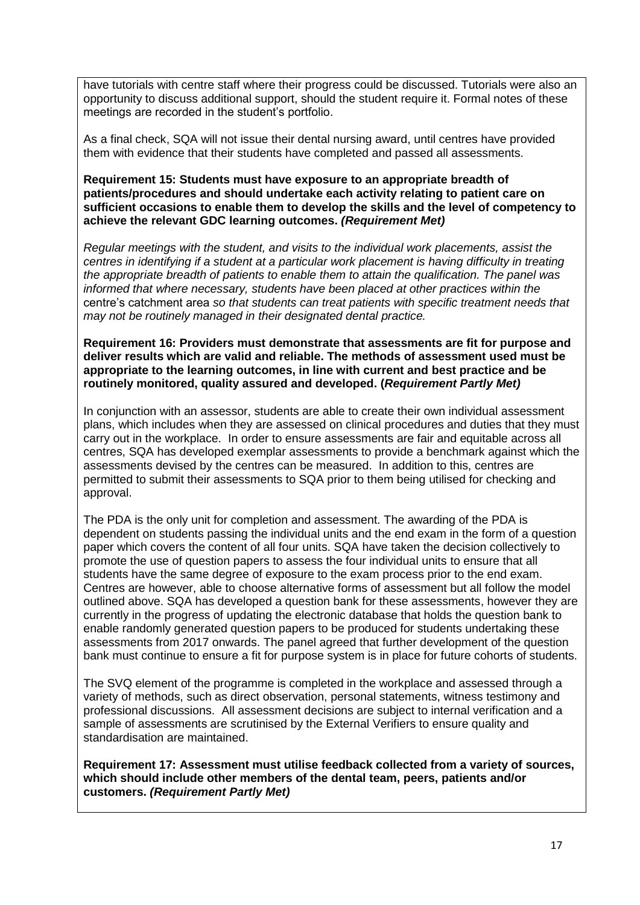have tutorials with centre staff where their progress could be discussed. Tutorials were also an opportunity to discuss additional support, should the student require it. Formal notes of these meetings are recorded in the student's portfolio.

As a final check, SQA will not issue their dental nursing award, until centres have provided them with evidence that their students have completed and passed all assessments.

**Requirement 15: Students must have exposure to an appropriate breadth of patients/procedures and should undertake each activity relating to patient care on sufficient occasions to enable them to develop the skills and the level of competency to achieve the relevant GDC learning outcomes.** *(Requirement Met)*

*Regular meetings with the student, and visits to the individual work placements, assist the centres in identifying if a student at a particular work placement is having difficulty in treating the appropriate breadth of patients to enable them to attain the qualification. The panel was informed that where necessary, students have been placed at other practices within the centre's catchment area so that students can treat patients with specific treatment needs that may not be routinely managed in their designated dental practice.* 

**Requirement 16: Providers must demonstrate that assessments are fit for purpose and deliver results which are valid and reliable. The methods of assessment used must be appropriate to the learning outcomes, in line with current and best practice and be routinely monitored, quality assured and developed. (***Requirement Partly Met)*

In conjunction with an assessor, students are able to create their own individual assessment plans, which includes when they are assessed on clinical procedures and duties that they must carry out in the workplace. In order to ensure assessments are fair and equitable across all centres, SQA has developed exemplar assessments to provide a benchmark against which the assessments devised by the centres can be measured. In addition to this, centres are permitted to submit their assessments to SQA prior to them being utilised for checking and approval.

The PDA is the only unit for completion and assessment. The awarding of the PDA is dependent on students passing the individual units and the end exam in the form of a question paper which covers the content of all four units. SQA have taken the decision collectively to promote the use of question papers to assess the four individual units to ensure that all students have the same degree of exposure to the exam process prior to the end exam. Centres are however, able to choose alternative forms of assessment but all follow the model outlined above. SQA has developed a question bank for these assessments, however they are currently in the progress of updating the electronic database that holds the question bank to enable randomly generated question papers to be produced for students undertaking these assessments from 2017 onwards. The panel agreed that further development of the question bank must continue to ensure a fit for purpose system is in place for future cohorts of students.

The SVQ element of the programme is completed in the workplace and assessed through a variety of methods, such as direct observation, personal statements, witness testimony and professional discussions. All assessment decisions are subject to internal verification and a sample of assessments are scrutinised by the External Verifiers to ensure quality and standardisation are maintained.

**Requirement 17: Assessment must utilise feedback collected from a variety of sources, which should include other members of the dental team, peers, patients and/or customers.** *(Requirement Partly Met)*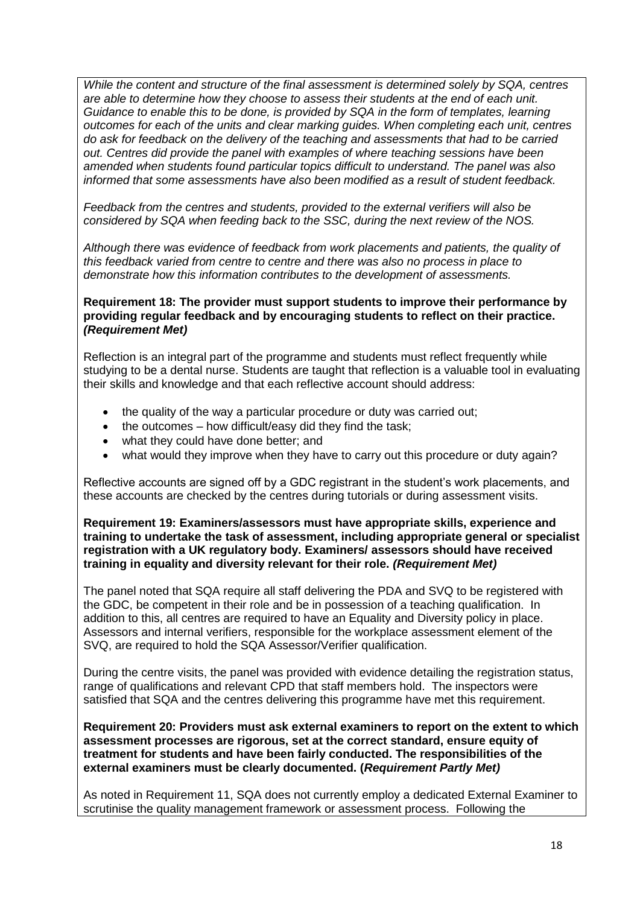*While the content and structure of the final assessment is determined solely by SQA, centres are able to determine how they choose to assess their students at the end of each unit. Guidance to enable this to be done, is provided by SQA in the form of templates, learning outcomes for each of the units and clear marking guides. When completing each unit, centres do ask for feedback on the delivery of the teaching and assessments that had to be carried out. Centres did provide the panel with examples of where teaching sessions have been amended when students found particular topics difficult to understand. The panel was also informed that some assessments have also been modified as a result of student feedback.*

*Feedback from the centres and students, provided to the external verifiers will also be considered by SQA when feeding back to the SSC, during the next review of the NOS.*

*Although there was evidence of feedback from work placements and patients, the quality of this feedback varied from centre to centre and there was also no process in place to demonstrate how this information contributes to the development of assessments.*

**Requirement 18: The provider must support students to improve their performance by providing regular feedback and by encouraging students to reflect on their practice.** *(Requirement Met)*

Reflection is an integral part of the programme and students must reflect frequently while studying to be a dental nurse. Students are taught that reflection is a valuable tool in evaluating their skills and knowledge and that each reflective account should address:

- the quality of the way a particular procedure or duty was carried out;
- the outcomes  $-$  how difficult/easy did they find the task;
- what they could have done better; and
- what would they improve when they have to carry out this procedure or duty again?

Reflective accounts are signed off by a GDC registrant in the student's work placements, and these accounts are checked by the centres during tutorials or during assessment visits.

**Requirement 19: Examiners/assessors must have appropriate skills, experience and training to undertake the task of assessment, including appropriate general or specialist registration with a UK regulatory body. Examiners/ assessors should have received training in equality and diversity relevant for their role.** *(Requirement Met)*

The panel noted that SQA require all staff delivering the PDA and SVQ to be registered with the GDC, be competent in their role and be in possession of a teaching qualification. In addition to this, all centres are required to have an Equality and Diversity policy in place. Assessors and internal verifiers, responsible for the workplace assessment element of the SVQ, are required to hold the SQA Assessor/Verifier qualification.

During the centre visits, the panel was provided with evidence detailing the registration status, range of qualifications and relevant CPD that staff members hold. The inspectors were satisfied that SQA and the centres delivering this programme have met this requirement.

**Requirement 20: Providers must ask external examiners to report on the extent to which assessment processes are rigorous, set at the correct standard, ensure equity of treatment for students and have been fairly conducted. The responsibilities of the external examiners must be clearly documented. (***Requirement Partly Met)*

As noted in Requirement 11, SQA does not currently employ a dedicated External Examiner to scrutinise the quality management framework or assessment process. Following the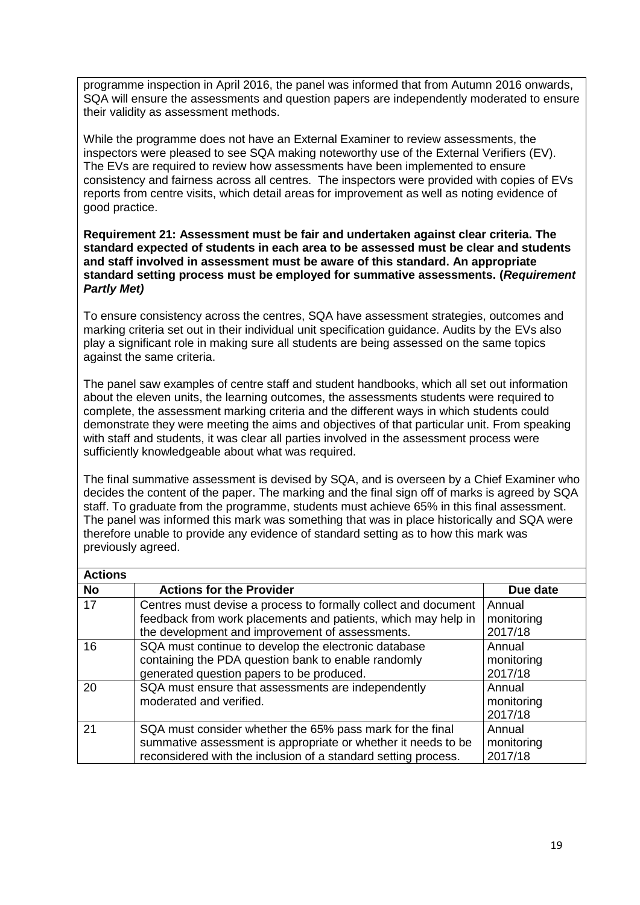programme inspection in April 2016, the panel was informed that from Autumn 2016 onwards, SQA will ensure the assessments and question papers are independently moderated to ensure their validity as assessment methods.

While the programme does not have an External Examiner to review assessments, the inspectors were pleased to see SQA making noteworthy use of the External Verifiers (EV). The EVs are required to review how assessments have been implemented to ensure consistency and fairness across all centres. The inspectors were provided with copies of EVs reports from centre visits, which detail areas for improvement as well as noting evidence of good practice.

#### **Requirement 21: Assessment must be fair and undertaken against clear criteria. The standard expected of students in each area to be assessed must be clear and students and staff involved in assessment must be aware of this standard. An appropriate standard setting process must be employed for summative assessments. (***Requirement Partly Met)*

To ensure consistency across the centres, SQA have assessment strategies, outcomes and marking criteria set out in their individual unit specification guidance. Audits by the EVs also play a significant role in making sure all students are being assessed on the same topics against the same criteria.

The panel saw examples of centre staff and student handbooks, which all set out information about the eleven units, the learning outcomes, the assessments students were required to complete, the assessment marking criteria and the different ways in which students could demonstrate they were meeting the aims and objectives of that particular unit. From speaking with staff and students, it was clear all parties involved in the assessment process were sufficiently knowledgeable about what was required.

The final summative assessment is devised by SQA, and is overseen by a Chief Examiner who decides the content of the paper. The marking and the final sign off of marks is agreed by SQA staff. To graduate from the programme, students must achieve 65% in this final assessment. The panel was informed this mark was something that was in place historically and SQA were therefore unable to provide any evidence of standard setting as to how this mark was previously agreed.

| <b>Actions</b> |                                                                |            |
|----------------|----------------------------------------------------------------|------------|
| <b>No</b>      | <b>Actions for the Provider</b>                                | Due date   |
| 17             | Centres must devise a process to formally collect and document | Annual     |
|                | feedback from work placements and patients, which may help in  | monitoring |
|                | the development and improvement of assessments.                | 2017/18    |
| 16             | SQA must continue to develop the electronic database           | Annual     |
|                | containing the PDA question bank to enable randomly            | monitoring |
|                | generated question papers to be produced.                      | 2017/18    |
| 20             | SQA must ensure that assessments are independently             | Annual     |
|                | moderated and verified.                                        | monitoring |
|                |                                                                | 2017/18    |
| 21             | SQA must consider whether the 65% pass mark for the final      | Annual     |
|                | summative assessment is appropriate or whether it needs to be  | monitoring |
|                | reconsidered with the inclusion of a standard setting process. | 2017/18    |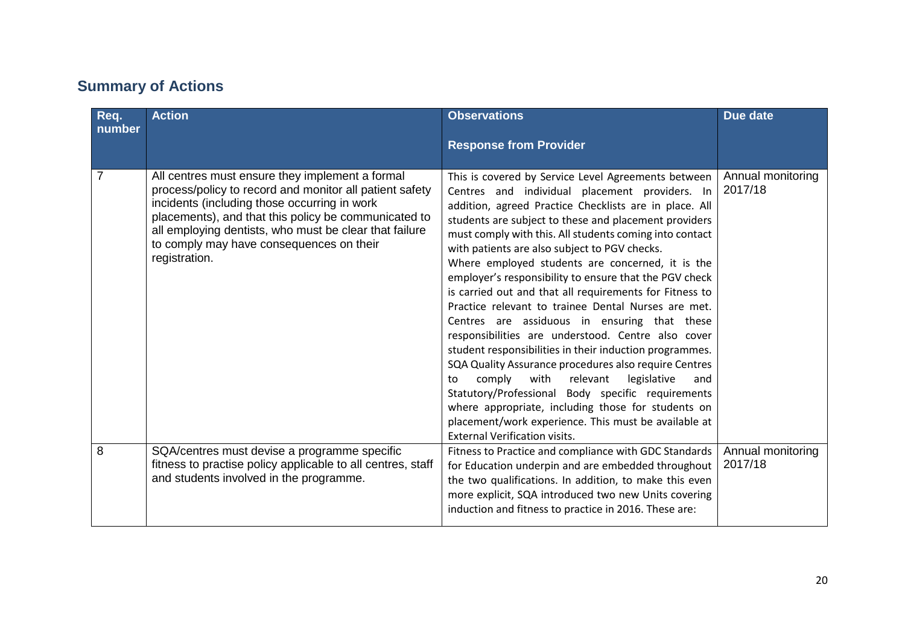# **Summary of Actions**

| Req.<br>number | <b>Action</b>                                                                                                                                                                                                                                                                                                                             | <b>Observations</b><br><b>Response from Provider</b>                                                                                                                                                                                                                                                                                                                                                                                                                                                                                                                                                                                                                                                                                                                                                                                                                                                                                                                                                                                                                | Due date                     |
|----------------|-------------------------------------------------------------------------------------------------------------------------------------------------------------------------------------------------------------------------------------------------------------------------------------------------------------------------------------------|---------------------------------------------------------------------------------------------------------------------------------------------------------------------------------------------------------------------------------------------------------------------------------------------------------------------------------------------------------------------------------------------------------------------------------------------------------------------------------------------------------------------------------------------------------------------------------------------------------------------------------------------------------------------------------------------------------------------------------------------------------------------------------------------------------------------------------------------------------------------------------------------------------------------------------------------------------------------------------------------------------------------------------------------------------------------|------------------------------|
| $\overline{7}$ | All centres must ensure they implement a formal<br>process/policy to record and monitor all patient safety<br>incidents (including those occurring in work<br>placements), and that this policy be communicated to<br>all employing dentists, who must be clear that failure<br>to comply may have consequences on their<br>registration. | This is covered by Service Level Agreements between<br>Centres and individual placement providers. In<br>addition, agreed Practice Checklists are in place. All<br>students are subject to these and placement providers<br>must comply with this. All students coming into contact<br>with patients are also subject to PGV checks.<br>Where employed students are concerned, it is the<br>employer's responsibility to ensure that the PGV check<br>is carried out and that all requirements for Fitness to<br>Practice relevant to trainee Dental Nurses are met.<br>Centres are assiduous in ensuring that these<br>responsibilities are understood. Centre also cover<br>student responsibilities in their induction programmes.<br>SQA Quality Assurance procedures also require Centres<br>comply<br>with<br>relevant<br>legislative<br>to<br>and<br>Statutory/Professional Body specific requirements<br>where appropriate, including those for students on<br>placement/work experience. This must be available at<br><b>External Verification visits.</b> | Annual monitoring<br>2017/18 |
| 8              | SQA/centres must devise a programme specific<br>fitness to practise policy applicable to all centres, staff<br>and students involved in the programme.                                                                                                                                                                                    | Fitness to Practice and compliance with GDC Standards<br>for Education underpin and are embedded throughout<br>the two qualifications. In addition, to make this even<br>more explicit, SQA introduced two new Units covering<br>induction and fitness to practice in 2016. These are:                                                                                                                                                                                                                                                                                                                                                                                                                                                                                                                                                                                                                                                                                                                                                                              | Annual monitoring<br>2017/18 |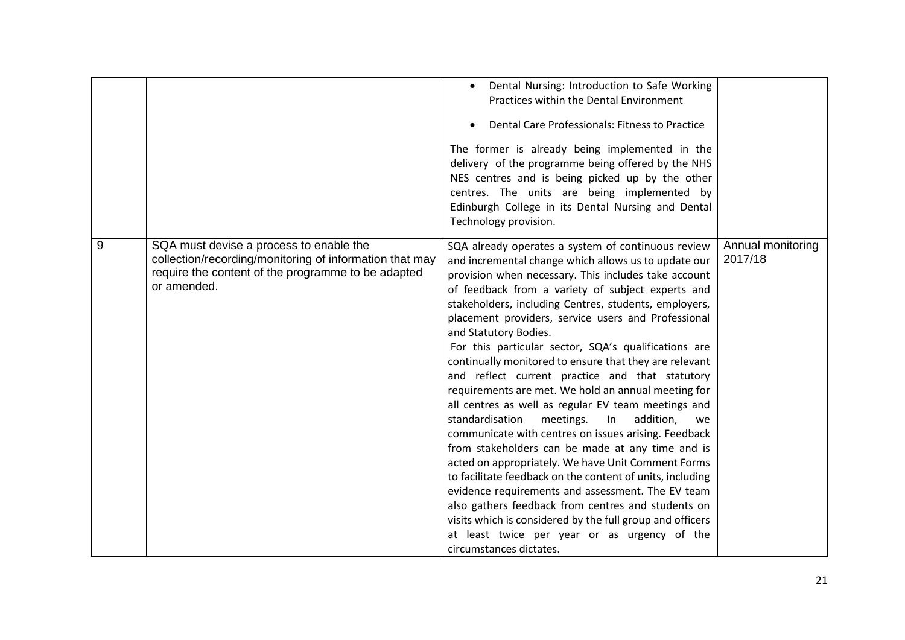|   |                                                                                                                                                                         | Dental Nursing: Introduction to Safe Working<br>$\bullet$<br>Practices within the Dental Environment<br>Dental Care Professionals: Fitness to Practice<br>The former is already being implemented in the<br>delivery of the programme being offered by the NHS<br>NES centres and is being picked up by the other<br>centres. The units are being implemented by<br>Edinburgh College in its Dental Nursing and Dental<br>Technology provision.                                                                                                                                                                                                                                                                                                                                                                                                                                                                                                                                                                                                                                                                                                                                                |                              |
|---|-------------------------------------------------------------------------------------------------------------------------------------------------------------------------|------------------------------------------------------------------------------------------------------------------------------------------------------------------------------------------------------------------------------------------------------------------------------------------------------------------------------------------------------------------------------------------------------------------------------------------------------------------------------------------------------------------------------------------------------------------------------------------------------------------------------------------------------------------------------------------------------------------------------------------------------------------------------------------------------------------------------------------------------------------------------------------------------------------------------------------------------------------------------------------------------------------------------------------------------------------------------------------------------------------------------------------------------------------------------------------------|------------------------------|
| 9 | SQA must devise a process to enable the<br>collection/recording/monitoring of information that may<br>require the content of the programme to be adapted<br>or amended. | SQA already operates a system of continuous review<br>and incremental change which allows us to update our<br>provision when necessary. This includes take account<br>of feedback from a variety of subject experts and<br>stakeholders, including Centres, students, employers,<br>placement providers, service users and Professional<br>and Statutory Bodies.<br>For this particular sector, SQA's qualifications are<br>continually monitored to ensure that they are relevant<br>and reflect current practice and that statutory<br>requirements are met. We hold an annual meeting for<br>all centres as well as regular EV team meetings and<br>standardisation<br>meetings.<br>addition,<br>In<br>we<br>communicate with centres on issues arising. Feedback<br>from stakeholders can be made at any time and is<br>acted on appropriately. We have Unit Comment Forms<br>to facilitate feedback on the content of units, including<br>evidence requirements and assessment. The EV team<br>also gathers feedback from centres and students on<br>visits which is considered by the full group and officers<br>at least twice per year or as urgency of the<br>circumstances dictates. | Annual monitoring<br>2017/18 |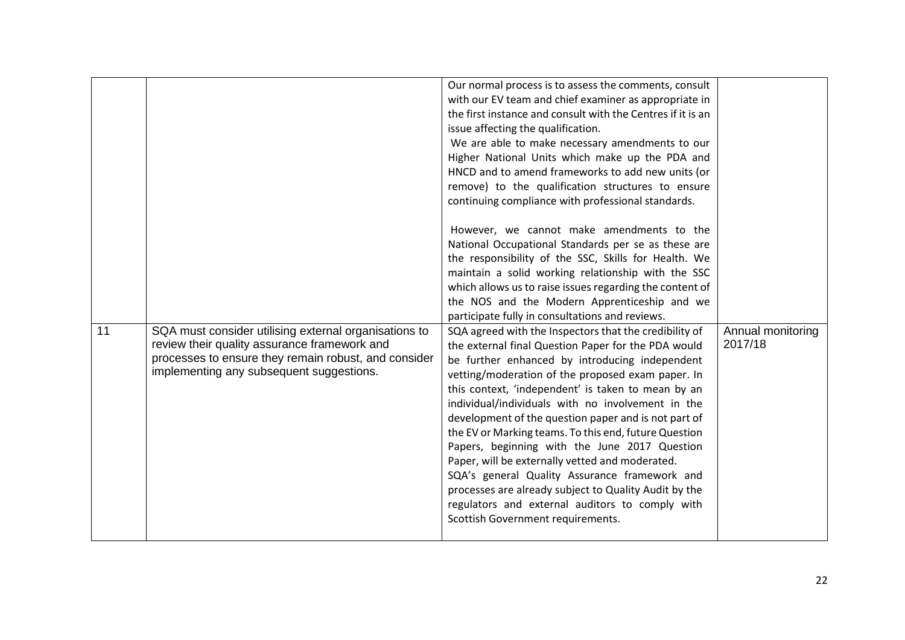| Our normal process is to assess the comments, consult<br>with our EV team and chief examiner as appropriate in<br>the first instance and consult with the Centres if it is an<br>issue affecting the qualification.<br>We are able to make necessary amendments to our<br>Higher National Units which make up the PDA and<br>HNCD and to amend frameworks to add new units (or<br>remove) to the qualification structures to ensure<br>continuing compliance with professional standards.<br>However, we cannot make amendments to the<br>National Occupational Standards per se as these are<br>the responsibility of the SSC, Skills for Health. We<br>maintain a solid working relationship with the SSC<br>which allows us to raise issues regarding the content of<br>the NOS and the Modern Apprenticeship and we<br>participate fully in consultations and reviews.<br>11<br>SQA must consider utilising external organisations to<br>Annual monitoring<br>SQA agreed with the Inspectors that the credibility of<br>review their quality assurance framework and<br>2017/18<br>the external final Question Paper for the PDA would<br>processes to ensure they remain robust, and consider<br>be further enhanced by introducing independent<br>implementing any subsequent suggestions.<br>vetting/moderation of the proposed exam paper. In<br>this context, 'independent' is taken to mean by an<br>individual/individuals with no involvement in the<br>development of the question paper and is not part of<br>the EV or Marking teams. To this end, future Question<br>Papers, beginning with the June 2017 Question<br>Paper, will be externally vetted and moderated.<br>SQA's general Quality Assurance framework and<br>processes are already subject to Quality Audit by the<br>regulators and external auditors to comply with<br>Scottish Government requirements. |  |  |
|-----------------------------------------------------------------------------------------------------------------------------------------------------------------------------------------------------------------------------------------------------------------------------------------------------------------------------------------------------------------------------------------------------------------------------------------------------------------------------------------------------------------------------------------------------------------------------------------------------------------------------------------------------------------------------------------------------------------------------------------------------------------------------------------------------------------------------------------------------------------------------------------------------------------------------------------------------------------------------------------------------------------------------------------------------------------------------------------------------------------------------------------------------------------------------------------------------------------------------------------------------------------------------------------------------------------------------------------------------------------------------------------------------------------------------------------------------------------------------------------------------------------------------------------------------------------------------------------------------------------------------------------------------------------------------------------------------------------------------------------------------------------------------------------------------------------------------------------------------------------------------------------|--|--|
|                                                                                                                                                                                                                                                                                                                                                                                                                                                                                                                                                                                                                                                                                                                                                                                                                                                                                                                                                                                                                                                                                                                                                                                                                                                                                                                                                                                                                                                                                                                                                                                                                                                                                                                                                                                                                                                                                         |  |  |
|                                                                                                                                                                                                                                                                                                                                                                                                                                                                                                                                                                                                                                                                                                                                                                                                                                                                                                                                                                                                                                                                                                                                                                                                                                                                                                                                                                                                                                                                                                                                                                                                                                                                                                                                                                                                                                                                                         |  |  |
|                                                                                                                                                                                                                                                                                                                                                                                                                                                                                                                                                                                                                                                                                                                                                                                                                                                                                                                                                                                                                                                                                                                                                                                                                                                                                                                                                                                                                                                                                                                                                                                                                                                                                                                                                                                                                                                                                         |  |  |
|                                                                                                                                                                                                                                                                                                                                                                                                                                                                                                                                                                                                                                                                                                                                                                                                                                                                                                                                                                                                                                                                                                                                                                                                                                                                                                                                                                                                                                                                                                                                                                                                                                                                                                                                                                                                                                                                                         |  |  |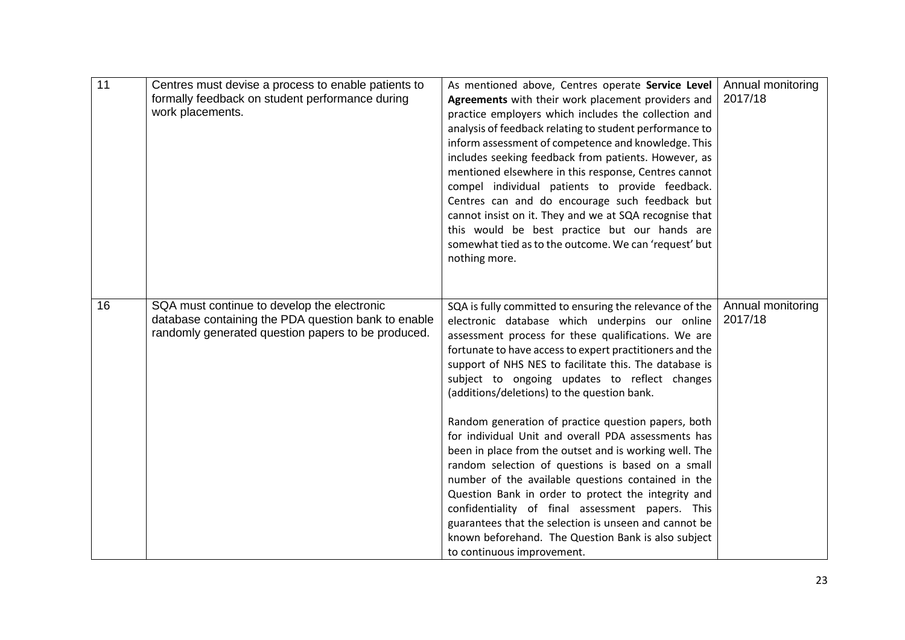| 11 | Centres must devise a process to enable patients to<br>formally feedback on student performance during<br>work placements.                               | As mentioned above, Centres operate Service Level<br>Agreements with their work placement providers and<br>practice employers which includes the collection and<br>analysis of feedback relating to student performance to<br>inform assessment of competence and knowledge. This<br>includes seeking feedback from patients. However, as<br>mentioned elsewhere in this response, Centres cannot<br>compel individual patients to provide feedback.<br>Centres can and do encourage such feedback but<br>cannot insist on it. They and we at SQA recognise that<br>this would be best practice but our hands are<br>somewhat tied as to the outcome. We can 'request' but<br>nothing more.                                                                                                                                                                                                                                        | Annual monitoring<br>2017/18 |
|----|----------------------------------------------------------------------------------------------------------------------------------------------------------|------------------------------------------------------------------------------------------------------------------------------------------------------------------------------------------------------------------------------------------------------------------------------------------------------------------------------------------------------------------------------------------------------------------------------------------------------------------------------------------------------------------------------------------------------------------------------------------------------------------------------------------------------------------------------------------------------------------------------------------------------------------------------------------------------------------------------------------------------------------------------------------------------------------------------------|------------------------------|
| 16 | SQA must continue to develop the electronic<br>database containing the PDA question bank to enable<br>randomly generated question papers to be produced. | SQA is fully committed to ensuring the relevance of the<br>electronic database which underpins our online<br>assessment process for these qualifications. We are<br>fortunate to have access to expert practitioners and the<br>support of NHS NES to facilitate this. The database is<br>subject to ongoing updates to reflect changes<br>(additions/deletions) to the question bank.<br>Random generation of practice question papers, both<br>for individual Unit and overall PDA assessments has<br>been in place from the outset and is working well. The<br>random selection of questions is based on a small<br>number of the available questions contained in the<br>Question Bank in order to protect the integrity and<br>confidentiality of final assessment papers. This<br>guarantees that the selection is unseen and cannot be<br>known beforehand. The Question Bank is also subject<br>to continuous improvement. | Annual monitoring<br>2017/18 |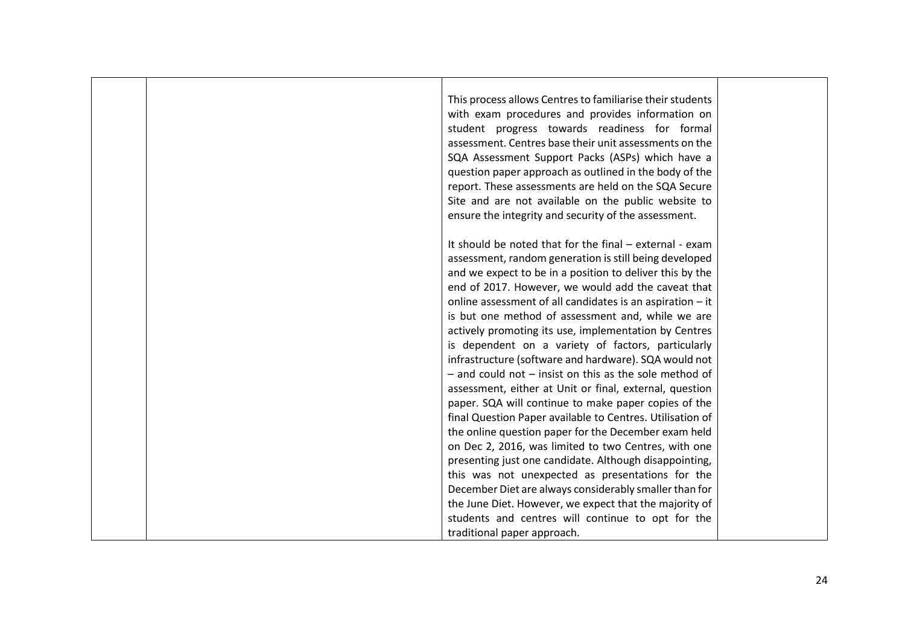This process allows Centres to familiarise their students with exam procedures and provides information on student progress towards readiness for formal assessment. Centres base their unit assessments on the SQA Assessment Support Packs (ASPs) which have a question paper approach as outlined in the body of the report. These assessments are held on the SQA Secure Site and are not available on the public website to ensure the integrity and security of the assessment.

It should be noted that for the final – external - exam assessment, random generation is still being developed and we expect to be in a position to deliver this by the end of 2017. However, we would add the caveat that online assessment of all candidates is an aspiration – it is but one method of assessment and, while we are actively promoting its use, implementation by Centres is dependent on a variety of factors, particularly infrastructure (software and hardware). SQA would not – and could not – insist on this as the sole method of assessment, either at Unit or final, external, question paper. SQA will continue to make paper copies of the final Question Paper available to Centres. Utilisation of the online question paper for the December exam held on Dec 2, 2016, was limited to two Centres, with one presenting just one candidate. Although disappointing, this was not unexpected as presentations for the December Diet are always considerably smaller than for the June Diet. However, we expect that the majority of students and centres will continue to opt for the traditional paper approach.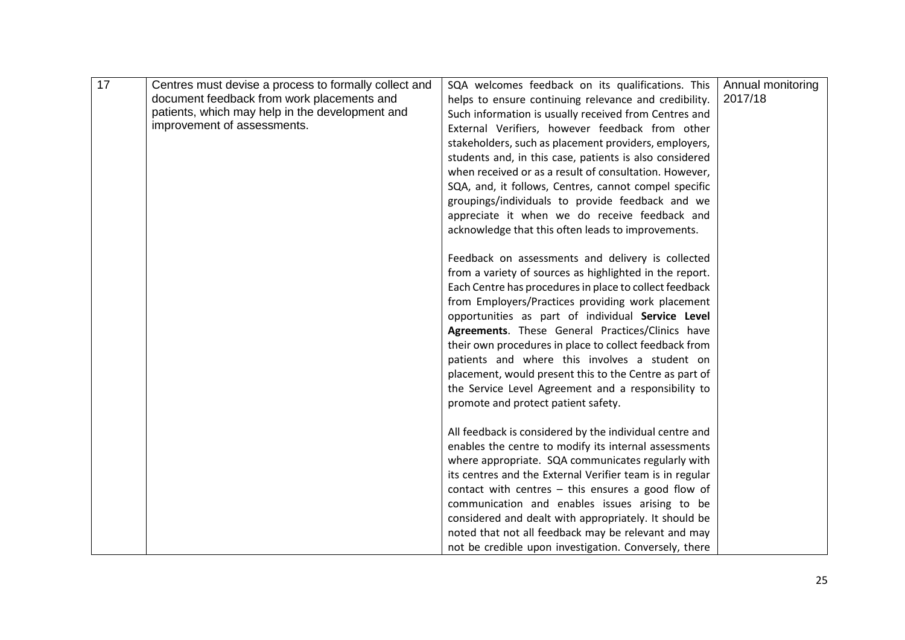| 17 | Centres must devise a process to formally collect and | SQA welcomes feedback on its qualifications. This        | Annual monitoring |
|----|-------------------------------------------------------|----------------------------------------------------------|-------------------|
|    | document feedback from work placements and            | helps to ensure continuing relevance and credibility.    | 2017/18           |
|    | patients, which may help in the development and       | Such information is usually received from Centres and    |                   |
|    | improvement of assessments.                           | External Verifiers, however feedback from other          |                   |
|    |                                                       | stakeholders, such as placement providers, employers,    |                   |
|    |                                                       | students and, in this case, patients is also considered  |                   |
|    |                                                       | when received or as a result of consultation. However,   |                   |
|    |                                                       | SQA, and, it follows, Centres, cannot compel specific    |                   |
|    |                                                       | groupings/individuals to provide feedback and we         |                   |
|    |                                                       | appreciate it when we do receive feedback and            |                   |
|    |                                                       | acknowledge that this often leads to improvements.       |                   |
|    |                                                       |                                                          |                   |
|    |                                                       | Feedback on assessments and delivery is collected        |                   |
|    |                                                       | from a variety of sources as highlighted in the report.  |                   |
|    |                                                       | Each Centre has procedures in place to collect feedback  |                   |
|    |                                                       | from Employers/Practices providing work placement        |                   |
|    |                                                       | opportunities as part of individual Service Level        |                   |
|    |                                                       | Agreements. These General Practices/Clinics have         |                   |
|    |                                                       |                                                          |                   |
|    |                                                       | their own procedures in place to collect feedback from   |                   |
|    |                                                       | patients and where this involves a student on            |                   |
|    |                                                       | placement, would present this to the Centre as part of   |                   |
|    |                                                       | the Service Level Agreement and a responsibility to      |                   |
|    |                                                       | promote and protect patient safety.                      |                   |
|    |                                                       |                                                          |                   |
|    |                                                       | All feedback is considered by the individual centre and  |                   |
|    |                                                       | enables the centre to modify its internal assessments    |                   |
|    |                                                       | where appropriate. SQA communicates regularly with       |                   |
|    |                                                       | its centres and the External Verifier team is in regular |                   |
|    |                                                       | contact with centres $-$ this ensures a good flow of     |                   |
|    |                                                       | communication and enables issues arising to be           |                   |
|    |                                                       | considered and dealt with appropriately. It should be    |                   |
|    |                                                       | noted that not all feedback may be relevant and may      |                   |
|    |                                                       | not be credible upon investigation. Conversely, there    |                   |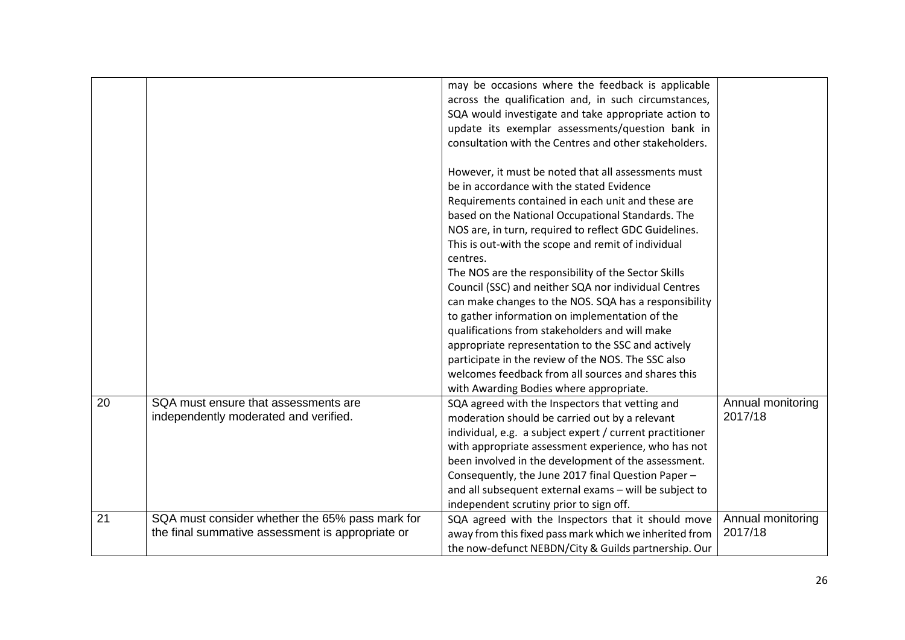|    |                                                  | may be occasions where the feedback is applicable<br>across the qualification and, in such circumstances,<br>SQA would investigate and take appropriate action to |                   |
|----|--------------------------------------------------|-------------------------------------------------------------------------------------------------------------------------------------------------------------------|-------------------|
|    |                                                  | update its exemplar assessments/question bank in                                                                                                                  |                   |
|    |                                                  | consultation with the Centres and other stakeholders.                                                                                                             |                   |
|    |                                                  |                                                                                                                                                                   |                   |
|    |                                                  | However, it must be noted that all assessments must                                                                                                               |                   |
|    |                                                  | be in accordance with the stated Evidence                                                                                                                         |                   |
|    |                                                  | Requirements contained in each unit and these are                                                                                                                 |                   |
|    |                                                  | based on the National Occupational Standards. The                                                                                                                 |                   |
|    |                                                  | NOS are, in turn, required to reflect GDC Guidelines.                                                                                                             |                   |
|    |                                                  | This is out-with the scope and remit of individual<br>centres.                                                                                                    |                   |
|    |                                                  | The NOS are the responsibility of the Sector Skills                                                                                                               |                   |
|    |                                                  | Council (SSC) and neither SQA nor individual Centres                                                                                                              |                   |
|    |                                                  | can make changes to the NOS. SQA has a responsibility                                                                                                             |                   |
|    |                                                  | to gather information on implementation of the                                                                                                                    |                   |
|    |                                                  | qualifications from stakeholders and will make                                                                                                                    |                   |
|    |                                                  | appropriate representation to the SSC and actively                                                                                                                |                   |
|    |                                                  | participate in the review of the NOS. The SSC also                                                                                                                |                   |
|    |                                                  | welcomes feedback from all sources and shares this                                                                                                                |                   |
|    |                                                  | with Awarding Bodies where appropriate.                                                                                                                           |                   |
| 20 | SQA must ensure that assessments are             | SQA agreed with the Inspectors that vetting and                                                                                                                   | Annual monitoring |
|    | independently moderated and verified.            | moderation should be carried out by a relevant                                                                                                                    | 2017/18           |
|    |                                                  | individual, e.g. a subject expert / current practitioner                                                                                                          |                   |
|    |                                                  | with appropriate assessment experience, who has not                                                                                                               |                   |
|    |                                                  | been involved in the development of the assessment.                                                                                                               |                   |
|    |                                                  | Consequently, the June 2017 final Question Paper -                                                                                                                |                   |
|    |                                                  | and all subsequent external exams - will be subject to                                                                                                            |                   |
|    |                                                  | independent scrutiny prior to sign off.                                                                                                                           |                   |
| 21 | SQA must consider whether the 65% pass mark for  | SQA agreed with the Inspectors that it should move                                                                                                                | Annual monitoring |
|    | the final summative assessment is appropriate or | away from this fixed pass mark which we inherited from                                                                                                            | 2017/18           |
|    |                                                  | the now-defunct NEBDN/City & Guilds partnership. Our                                                                                                              |                   |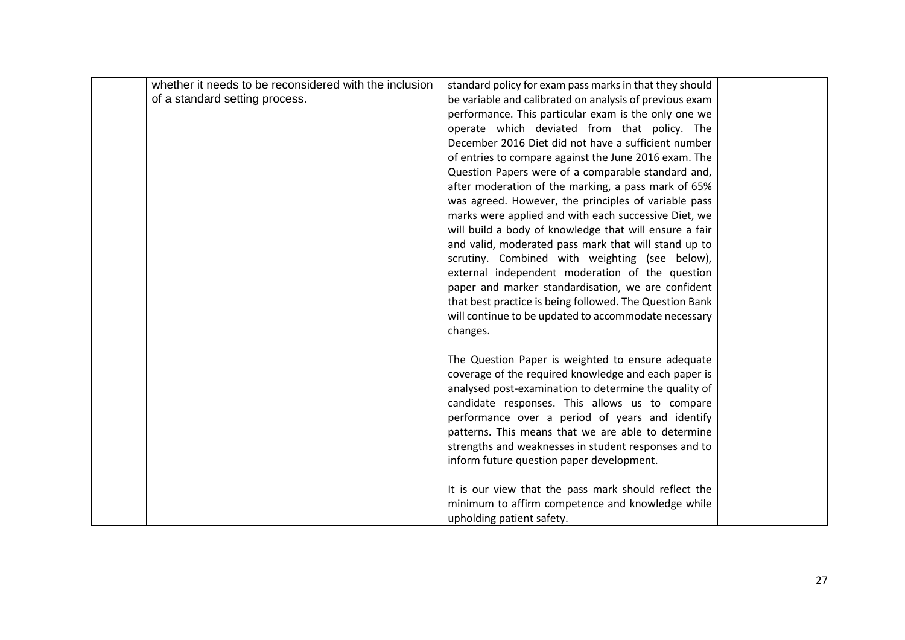| whether it needs to be reconsidered with the inclusion | standard policy for exam pass marks in that they should |  |
|--------------------------------------------------------|---------------------------------------------------------|--|
| of a standard setting process.                         | be variable and calibrated on analysis of previous exam |  |
|                                                        | performance. This particular exam is the only one we    |  |
|                                                        | operate which deviated from that policy. The            |  |
|                                                        | December 2016 Diet did not have a sufficient number     |  |
|                                                        | of entries to compare against the June 2016 exam. The   |  |
|                                                        | Question Papers were of a comparable standard and,      |  |
|                                                        | after moderation of the marking, a pass mark of 65%     |  |
|                                                        | was agreed. However, the principles of variable pass    |  |
|                                                        | marks were applied and with each successive Diet, we    |  |
|                                                        | will build a body of knowledge that will ensure a fair  |  |
|                                                        | and valid, moderated pass mark that will stand up to    |  |
|                                                        | scrutiny. Combined with weighting (see below),          |  |
|                                                        | external independent moderation of the question         |  |
|                                                        | paper and marker standardisation, we are confident      |  |
|                                                        | that best practice is being followed. The Question Bank |  |
|                                                        | will continue to be updated to accommodate necessary    |  |
|                                                        | changes.                                                |  |
|                                                        |                                                         |  |
|                                                        | The Question Paper is weighted to ensure adequate       |  |
|                                                        | coverage of the required knowledge and each paper is    |  |
|                                                        | analysed post-examination to determine the quality of   |  |
|                                                        | candidate responses. This allows us to compare          |  |
|                                                        | performance over a period of years and identify         |  |
|                                                        | patterns. This means that we are able to determine      |  |
|                                                        | strengths and weaknesses in student responses and to    |  |
|                                                        | inform future question paper development.               |  |
|                                                        |                                                         |  |
|                                                        | It is our view that the pass mark should reflect the    |  |
|                                                        | minimum to affirm competence and knowledge while        |  |
|                                                        | upholding patient safety.                               |  |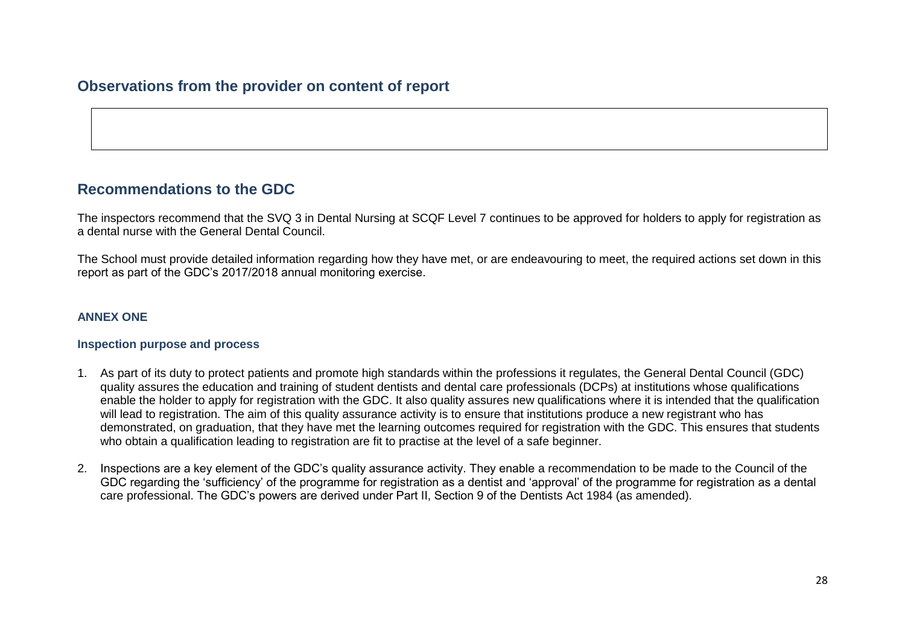# **Observations from the provider on content of report**

# **Recommendations to the GDC**

The inspectors recommend that the SVQ 3 in Dental Nursing at SCQF Level 7 continues to be approved for holders to apply for registration as a dental nurse with the General Dental Council.

The School must provide detailed information regarding how they have met, or are endeavouring to meet, the required actions set down in this report as part of the GDC's 2017/2018 annual monitoring exercise.

#### **ANNEX ONE**

#### **Inspection purpose and process**

- 1. As part of its duty to protect patients and promote high standards within the professions it regulates, the General Dental Council (GDC) quality assures the education and training of student dentists and dental care professionals (DCPs) at institutions whose qualifications enable the holder to apply for registration with the GDC. It also quality assures new qualifications where it is intended that the qualification will lead to registration. The aim of this quality assurance activity is to ensure that institutions produce a new registrant who has demonstrated, on graduation, that they have met the learning outcomes required for registration with the GDC. This ensures that students who obtain a qualification leading to registration are fit to practise at the level of a safe beginner.
- 2. Inspections are a key element of the GDC's quality assurance activity. They enable a recommendation to be made to the Council of the GDC regarding the 'sufficiency' of the programme for registration as a dentist and 'approval' of the programme for registration as a dental care professional. The GDC's powers are derived under Part II, Section 9 of the Dentists Act 1984 (as amended).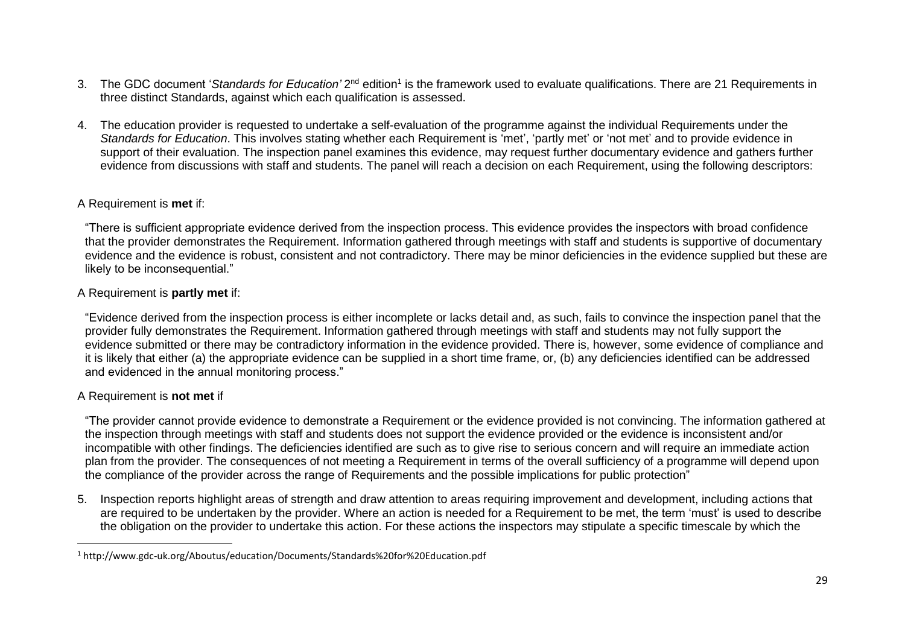- 3. The GDC document 'Standards for Education' 2<sup>nd</sup> edition<sup>1</sup> is the framework used to evaluate qualifications. There are 21 Requirements in three distinct Standards, against which each qualification is assessed.
- 4. The education provider is requested to undertake a self-evaluation of the programme against the individual Requirements under the *Standards for Education*. This involves stating whether each Requirement is 'met', 'partly met' or 'not met' and to provide evidence in support of their evaluation. The inspection panel examines this evidence, may request further documentary evidence and gathers further evidence from discussions with staff and students. The panel will reach a decision on each Requirement, using the following descriptors:

## A Requirement is **met** if:

"There is sufficient appropriate evidence derived from the inspection process. This evidence provides the inspectors with broad confidence that the provider demonstrates the Requirement. Information gathered through meetings with staff and students is supportive of documentary evidence and the evidence is robust, consistent and not contradictory. There may be minor deficiencies in the evidence supplied but these are likely to be inconsequential."

# A Requirement is **partly met** if:

"Evidence derived from the inspection process is either incomplete or lacks detail and, as such, fails to convince the inspection panel that the provider fully demonstrates the Requirement. Information gathered through meetings with staff and students may not fully support the evidence submitted or there may be contradictory information in the evidence provided. There is, however, some evidence of compliance and it is likely that either (a) the appropriate evidence can be supplied in a short time frame, or, (b) any deficiencies identified can be addressed and evidenced in the annual monitoring process."

# A Requirement is **not met** if

 $\overline{a}$ 

"The provider cannot provide evidence to demonstrate a Requirement or the evidence provided is not convincing. The information gathered at the inspection through meetings with staff and students does not support the evidence provided or the evidence is inconsistent and/or incompatible with other findings. The deficiencies identified are such as to give rise to serious concern and will require an immediate action plan from the provider. The consequences of not meeting a Requirement in terms of the overall sufficiency of a programme will depend upon the compliance of the provider across the range of Requirements and the possible implications for public protection"

5. Inspection reports highlight areas of strength and draw attention to areas requiring improvement and development, including actions that are required to be undertaken by the provider. Where an action is needed for a Requirement to be met, the term 'must' is used to describe the obligation on the provider to undertake this action. For these actions the inspectors may stipulate a specific timescale by which the

<sup>1</sup> http://www.gdc-uk.org/Aboutus/education/Documents/Standards%20for%20Education.pdf